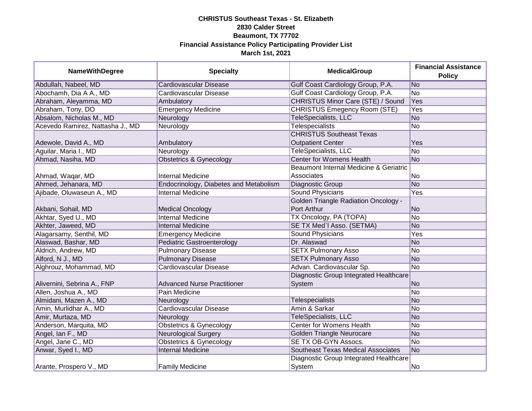| <b>NameWithDegree</b>            | <b>Specialty</b>                       | <b>MedicalGroup</b>                         | <b>Financial Assistance</b><br><b>Policy</b> |
|----------------------------------|----------------------------------------|---------------------------------------------|----------------------------------------------|
| Abdullah, Nabeel, MD             | Cardiovascular Disease                 | Gulf Coast Cardiology Group, P.A.           | No                                           |
| Abochamh, Dia A A., MD           | Cardiovascular Disease                 | Gulf Coast Cardiology Group, P.A.           | No                                           |
| Abraham, Aleyamma, MD            | Ambulatory                             | <b>CHRISTUS Minor Care (STE) / Sound</b>    | Yes                                          |
| Abraham, Tony, DO                | <b>Emergency Medicine</b>              | <b>CHRISTUS Emegency Room (STE)</b>         | Yes                                          |
| Absalom, Nicholas M., MD         | Neurology                              | <b>TeleSpecialists, LLC</b>                 | N <sub>o</sub>                               |
| Acevedo Ramirez, Nattasha J., MD | Neurology                              | <b>Telespecialists</b>                      | No                                           |
|                                  |                                        | <b>CHRISTUS Southeast Texas</b>             |                                              |
| Adewole, David A., MD            | Ambulatory                             | <b>Outpatient Center</b>                    | Yes                                          |
| Aguilar, Maria I., MD            | Neurology                              | <b>TeleSpecialists, LLC</b>                 | N <sub>o</sub>                               |
| Ahmad, Nasiha, MD                | <b>Obstetrics &amp; Gynecology</b>     | <b>Center for Womens Health</b>             | N <sub>o</sub>                               |
|                                  |                                        | Beaumont Internal Medicine & Geriatric      |                                              |
| Ahmad, Waqar, MD                 | <b>Internal Medicine</b>               | Associates                                  | No                                           |
| Ahmed, Jehanara, MD              | Endocrinology, Diabetes and Metabolism | Diagnostic Group                            | No                                           |
| Ajibade, Oluwaseun A., MD        | <b>Internal Medicine</b>               | <b>Sound Physicians</b>                     | Yes                                          |
|                                  |                                        | <b>Golden Triangle Radiation Oncology -</b> |                                              |
| Akbani, Sohail, MD               | <b>Medical Oncology</b>                | Port Arthur                                 | No                                           |
| Akhtar, Syed U., MD              | <b>Internal Medicine</b>               | TX Oncology, PA (TOPA)                      | No                                           |
| Akhter, Jaweed, MD               | <b>Internal Medicine</b>               | SE TX Med'l Asso. (SETMA)                   | No                                           |
| Alagarsamy, Senthil, MD          | <b>Emergency Medicine</b>              | <b>Sound Physicians</b>                     | Yes                                          |
| Alaswad, Bashar, MD              | Pediatric Gastroenterology             | Dr. Alaswad                                 | No                                           |
| Aldrich, Andrew, MD              | <b>Pulmonary Disease</b>               | <b>SETX Pulmonary Asso</b>                  | No                                           |
| Alford, N J., MD                 | <b>Pulmonary Disease</b>               | <b>SETX Pulmonary Asso</b>                  | No                                           |
| Alghrouz, Mohammad, MD           | Cardiovascular Disease                 | Advan. Cardiovascular Sp.                   | No                                           |
|                                  |                                        | Diagnostic Group Integrated Healthcare      |                                              |
| Alivernini, Sebrina A., FNP      | <b>Advanced Nurse Practitioner</b>     | System                                      | No                                           |
| Allen, Joshua A., MD             | Pain Medicine                          |                                             | No                                           |
| Almidani, Mazen A., MD           | Neurology                              | Telespecialists                             | No                                           |
| Amin, Murlidhar A., MD           | Cardiovascular Disease                 | Amin & Sarkar                               | No                                           |
| Amir, Murtaza, MD                | Neurology                              | TeleSpecialists, LLC                        | N <sub>o</sub>                               |
| Anderson, Marquita, MD           | <b>Obstetrics &amp; Gynecology</b>     | <b>Center for Womens Health</b>             | No                                           |
| Angel, Ian F., MD                | <b>Neurological Surgery</b>            | <b>Golden Triangle Neurocare</b>            | No                                           |
| Angel, Jane C., MD               | <b>Obstetrics &amp; Gynecology</b>     | <b>SE TX OB-GYN Assocs.</b>                 | No                                           |
| Anwar, Syed I., MD               | <b>Internal Medicine</b>               | <b>Southeast Texas Medical Associates</b>   | No                                           |
|                                  |                                        | Diagnostic Group Integrated Healthcare      |                                              |
| Arante, Prospero V., MD          | <b>Family Medicine</b>                 | System                                      | No.                                          |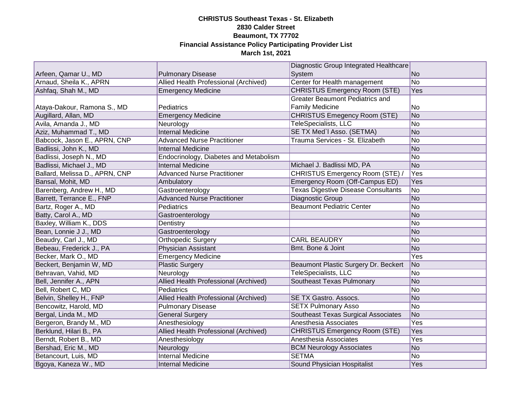|                                |                                        | Diagnostic Group Integrated Healthcare     |                |
|--------------------------------|----------------------------------------|--------------------------------------------|----------------|
| Arfeen, Qamar U., MD           | <b>Pulmonary Disease</b>               | System                                     | N <sub>o</sub> |
| Arnaud, Sheila K., APRN        | Allied Health Professional (Archived)  | Center for Health management               | N <sub>o</sub> |
| Ashfaq, Shah M., MD            | <b>Emergency Medicine</b>              | <b>CHRISTUS Emergency Room (STE)</b>       | Yes            |
|                                |                                        | <b>Greater Beaumont Pediatrics and</b>     |                |
| Ataya-Dakour, Ramona S., MD    | Pediatrics                             | <b>Family Medicine</b>                     | No             |
| Augillard, Allan, MD           | <b>Emergency Medicine</b>              | CHRISTUS Emegency Room (STE)               | No             |
| Avila, Amanda J., MD           | Neurology                              | TeleSpecialists, LLC                       | No             |
| Aziz, Muhammad T., MD          | <b>Internal Medicine</b>               | SE TX Med'l Asso. (SETMA)                  | No             |
| Babcock, Jason E., APRN, CNP   | <b>Advanced Nurse Practitioner</b>     | Trauma Services - St. Elizabeth            | <b>No</b>      |
| Badlissi, John K., MD          | <b>Internal Medicine</b>               |                                            | No             |
| Badlissi, Joseph N., MD        | Endocrinology, Diabetes and Metabolism |                                            | No             |
| Badlissi, Michael J., MD       | <b>Internal Medicine</b>               | Michael J. Badlissi MD, PA                 | N <sub>o</sub> |
| Ballard, Melissa D., APRN, CNP | <b>Advanced Nurse Practitioner</b>     | CHRISTUS Emergency Room (STE) /            | Yes            |
| Bansal, Mohit, MD              | Ambulatory                             | Emergency Room (Off-Campus ED)             | Yes            |
| Barenberg, Andrew H., MD       | Gastroenterology                       | <b>Texas Digestive Disease Consultants</b> | No             |
| Barrett, Terrance E., FNP      | <b>Advanced Nurse Practitioner</b>     | Diagnostic Group                           | N <sub>o</sub> |
| Bartz, Roger A., MD            | Pediatrics                             | <b>Beaumont Pediatric Center</b>           | No             |
| Batty, Carol A., MD            | Gastroenterology                       |                                            | No             |
| Baxley, William K., DDS        | Dentistry                              |                                            | No             |
| Bean, Lonnie J J., MD          | Gastroenterology                       |                                            | No             |
| Beaudry, Carl J., MD           | Orthopedic Surgery                     | <b>CARL BEAUDRY</b>                        | N <sub>o</sub> |
| Bebeau, Frederick J., PA       | Physician Assistant                    | Bmt. Bone & Joint                          | No             |
| Becker, Mark O., MD            | <b>Emergency Medicine</b>              |                                            | Yes            |
| Beckert, Benjamin W, MD        | <b>Plastic Surgery</b>                 | Beaumont Plastic Surgery Dr. Beckert       | N <sub>o</sub> |
| Behravan, Vahid, MD            | Neurology                              | TeleSpecialists, LLC                       | N <sub>o</sub> |
| Bell, Jennifer A., APN         | Allied Health Professional (Archived)  | Southeast Texas Pulmonary                  | No             |
| Bell, Robert C, MD             | Pediatrics                             |                                            | No             |
| Belvin, Shelley H., FNP        | Allied Health Professional (Archived)  | SE TX Gastro. Assocs.                      | No             |
| Bencowitz, Harold, MD          | <b>Pulmonary Disease</b>               | <b>SETX Pulmonary Asso</b>                 | N <sub>o</sub> |
| Bergal, Linda M., MD           | <b>General Surgery</b>                 | Southeast Texas Surgical Associates        | N <sub>o</sub> |
| Bergeron, Brandy M., MD        | Anesthesiology                         | Anesthesia Associates                      | <b>Yes</b>     |
| Berklund, Hilari B., PA        | Allied Health Professional (Archived)  | <b>CHRISTUS Emergency Room (STE)</b>       | Yes            |
| Berndt, Robert B., MD          | Anesthesiology                         | Anesthesia Associates                      | <b>Yes</b>     |
| Bershad, Eric M., MD           | Neurology                              | <b>BCM Neurology Associates</b>            | N <sub>o</sub> |
| Betancourt, Luis, MD           | <b>Internal Medicine</b>               | <b>SETMA</b>                               | No             |
| Bgoya, Kaneza W., MD           | <b>Internal Medicine</b>               | Sound Physician Hospitalist                | Yes            |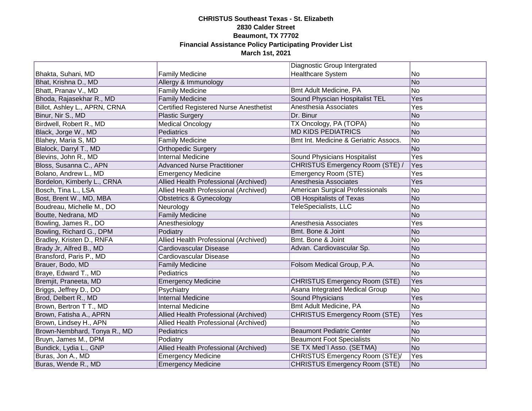|                               |                                               | Diagnostic Group Intergrated          |                |
|-------------------------------|-----------------------------------------------|---------------------------------------|----------------|
| Bhakta, Suhani, MD            | <b>Family Medicine</b>                        | <b>Healthcare System</b>              | No             |
| Bhat, Krishna D., MD          | Allergy & Immunology                          |                                       | N <sub>o</sub> |
| Bhatt, Pranav V., MD          | <b>Family Medicine</b>                        | Bmt Adult Medicine, PA                | No             |
| Bhoda, Rajasekhar R., MD      | <b>Family Medicine</b>                        | Sound Physcian Hospitalist TEL        | Yes            |
| Billot, Ashley L., APRN, CRNA | <b>Certified Registered Nurse Anesthetist</b> | Anesthesia Associates                 | Yes            |
| Binur, Nir S., MD             | <b>Plastic Surgery</b>                        | Dr. Binur                             | No             |
| Birdwell, Robert R., MD       | <b>Medical Oncology</b>                       | TX Oncology, PA (TOPA)                | No             |
| Black, Jorge W., MD           | Pediatrics                                    | <b>MD KIDS PEDIATRICS</b>             | No             |
| Blahey, Maria S, MD           | <b>Family Medicine</b>                        | Bmt Int. Medicine & Geriatric Assocs. | No             |
| Blalock, Darryl T., MD        | <b>Orthopedic Surgery</b>                     |                                       | No             |
| Blevins, John R., MD          | <b>Internal Medicine</b>                      | Sound Physicians Hospitalist          | Yes            |
| Bloss, Susanna C., APN        | <b>Advanced Nurse Practitioner</b>            | CHRISTUS Emergency Room (STE) /       | Yes            |
| Bolano, Andrew L., MD         | <b>Emergency Medicine</b>                     | Emergency Room (STE)                  | Yes            |
| Bordelon, Kimberly L., CRNA   | Allied Health Professional (Archived)         | Anesthesia Associates                 | Yes            |
| Bosch, Tina L., LSA           | Allied Health Professional (Archived)         | American Surgical Professionals       | No             |
| Bost, Brent W., MD, MBA       | <b>Obstetrics &amp; Gynecology</b>            | OB Hospitalists of Texas              | No             |
| Boudreau, Michelle M., DO     | Neurology                                     | TeleSpecialists, LLC                  | No             |
| Boutte, Nedrana, MD           | <b>Family Medicine</b>                        |                                       | No             |
| Bowling, James R., DO         | Anesthesiology                                | Anesthesia Associates                 | Yes            |
| Bowling, Richard G., DPM      | Podiatry                                      | Bmt. Bone & Joint                     | N <sub>o</sub> |
| Bradley, Kristen D., RNFA     | Allied Health Professional (Archived)         | Bmt. Bone & Joint                     | No             |
| Brady Jr, Alfred B., MD       | Cardiovascular Disease                        | Advan. Cardiovascular Sp.             | No             |
| Bransford, Paris P., MD       | Cardiovascular Disease                        |                                       | No             |
| Brauer, Bodo, MD              | <b>Family Medicine</b>                        | Folsom Medical Group, P.A.            | No             |
| Braye, Edward T., MD          | Pediatrics                                    |                                       | No             |
| Bremjit, Praneeta, MD         | <b>Emergency Medicine</b>                     | <b>CHRISTUS Emergency Room (STE)</b>  | Yes            |
| Briggs, Jeffrey D., DO        | Psychiatry                                    | Asana Integrated Medical Group        | No             |
| Brod, Delbert R., MD          | <b>Internal Medicine</b>                      | <b>Sound Physicians</b>               | Yes            |
| Brown, Bertron T T., MD       | <b>Internal Medicine</b>                      | Bmt Adult Medicine, PA                | No             |
| Brown, Fatisha A., APRN       | Allied Health Professional (Archived)         | <b>CHRISTUS Emergency Room (STE)</b>  | Yes            |
| Brown, Lindsey H., APN        | Allied Health Professional (Archived)         |                                       | No             |
| Brown-Nembhard, Tonya R., MD  | Pediatrics                                    | <b>Beaumont Pediatric Center</b>      | No             |
| Bruyn, James M., DPM          | Podiatry                                      | <b>Beaumont Foot Specialists</b>      | No             |
| Bundick, Lydia L., GNP        | Allied Health Professional (Archived)         | SE TX Med'l Asso. (SETMA)             | N <sub>o</sub> |
| Buras, Jon A., MD             | <b>Emergency Medicine</b>                     | CHRISTUS Emergency Room (STE)/        | Yes            |
| Buras, Wende R., MD           | <b>Emergency Medicine</b>                     | <b>CHRISTUS Emergency Room (STE)</b>  | No             |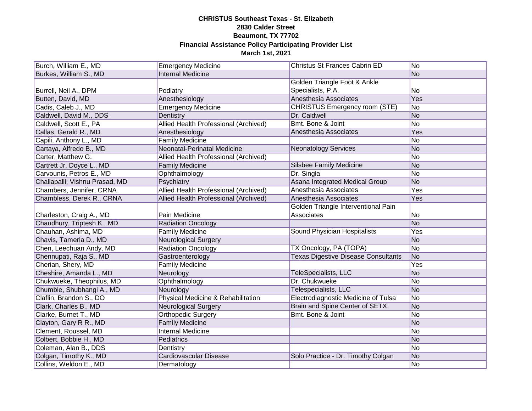| Burch, William E., MD          | <b>Emergency Medicine</b>             | Christus St Frances Cabrin ED              | No.            |
|--------------------------------|---------------------------------------|--------------------------------------------|----------------|
| Burkes, William S., MD         | <b>Internal Medicine</b>              |                                            | No             |
|                                |                                       | Golden Triangle Foot & Ankle               |                |
| Burrell, Neil A., DPM          | Podiatry                              | Specialists, P.A.                          | No.            |
| Butten, David, MD              | Anesthesiology                        | Anesthesia Associates                      | <b>Yes</b>     |
| Cadis, Caleb J., MD            | <b>Emergency Medicine</b>             | <b>CHRISTUS Emergency room (STE)</b>       | No             |
| Caldwell, David M., DDS        | Dentistry                             | Dr. Caldwell                               | N <sub>o</sub> |
| Caldwell, Scott E., PA         | Allied Health Professional (Archived) | Bmt. Bone & Joint                          | No             |
| Callas, Gerald R., MD          | Anesthesiology                        | Anesthesia Associates                      | Yes            |
| Capili, Anthony L., MD         | <b>Family Medicine</b>                |                                            | <b>No</b>      |
| Cartaya, Alfredo B., MD        | Neonatal-Perinatal Medicine           | <b>Neonatology Services</b>                | No             |
|                                |                                       |                                            | No             |
| Carter, Matthew G.             | Allied Health Professional (Archived) |                                            |                |
| Cartrett Jr, Doyce L., MD      | <b>Family Medicine</b>                | <b>Silsbee Family Medicine</b>             | No             |
| Carvounis, Petros E., MD       | Ophthalmology                         | Dr. Singla                                 | <b>No</b>      |
| Challapalli, Vishnu Prasad, MD | Psychiatry                            | Asana Integrated Medical Group             | <b>No</b>      |
| Chambers, Jennifer, CRNA       | Allied Health Professional (Archived) | Anesthesia Associates                      | Yes            |
| Chambless, Derek R., CRNA      | Allied Health Professional (Archived) | Anesthesia Associates                      | Yes            |
|                                |                                       | Golden Triangle Interventional Pain        |                |
| Charleston, Craig A., MD       | Pain Medicine                         | Associates                                 | No             |
| Chaudhury, Triptesh K., MD     | <b>Radiation Oncology</b>             |                                            | N <sub>o</sub> |
| Chauhan, Ashima, MD            | <b>Family Medicine</b>                | Sound Physician Hospitalists               | Yes            |
| Chavis, Tamerla D., MD         | <b>Neurological Surgery</b>           |                                            | N <sub>o</sub> |
| Chen, Leechuan Andy, MD        | <b>Radiation Oncology</b>             | TX Oncology, PA (TOPA)                     | No             |
| Chennupati, Raja S., MD        | Gastroenterology                      | <b>Texas Digestive Disease Consultants</b> | N <sub>o</sub> |
| Cherian, Shery, MD             | <b>Family Medicine</b>                |                                            | Yes            |
| Cheshire, Amanda L., MD        | Neurology                             | TeleSpecialists, LLC                       | No             |
| Chukwueke, Theophilus, MD      | Ophthalmology                         | Dr. Chukwueke                              | No             |
| Chumble, Shubhangi A., MD      | Neurology                             | Telespecialists, LLC                       | No             |
| Claflin, Brandon S., DO        | Physical Medicine & Rehabilitation    | Electrodiagnostic Medicine of Tulsa        | No             |
| Clark, Charles B., MD          | <b>Neurological Surgery</b>           | Brain and Spine Center of SETX             | N <sub>o</sub> |
| Clarke, Burnet T., MD          | Orthopedic Surgery                    | Bmt. Bone & Joint                          | No             |
| Clayton, Gary R R., MD         | <b>Family Medicine</b>                |                                            | N <sub>o</sub> |
| Clement, Roussel, MD           | <b>Internal Medicine</b>              |                                            | No             |
| Colbert, Bobbie H., MD         | Pediatrics                            |                                            | No             |
| Coleman, Alan B., DDS          | Dentistry                             |                                            | N <sub>o</sub> |
| Colgan, Timothy K., MD         | Cardiovascular Disease                | Solo Practice - Dr. Timothy Colgan         | No             |
| Collins, Weldon E., MD         | Dermatology                           |                                            | No             |
|                                |                                       |                                            |                |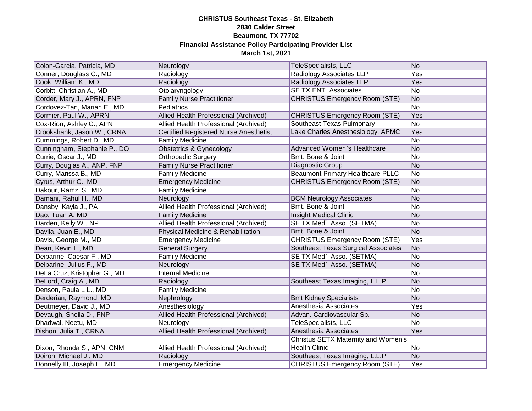| Colon-Garcia, Patricia, MD   | Neurology                              | TeleSpecialists, LLC                    | No  |
|------------------------------|----------------------------------------|-----------------------------------------|-----|
| Conner, Douglass C., MD      | Radiology                              | Radiology Associates LLP                | Yes |
| Cook, William K., MD         | Radiology                              | Radiology Associates LLP                | Yes |
| Corbitt, Christian A., MD    | Otolaryngology                         | <b>SE TX ENT Associates</b>             | No  |
| Corder, Mary J., APRN, FNP   | <b>Family Nurse Practitioner</b>       | <b>CHRISTUS Emergency Room (STE)</b>    | No  |
| Cordovez-Tan, Marian E., MD  | Pediatrics                             |                                         | No  |
| Cormier, Paul W., APRN       | Allied Health Professional (Archived)  | <b>CHRISTUS Emergency Room (STE)</b>    | Yes |
| Cox-Rion, Ashley C., APN     | Allied Health Professional (Archived)  | Southeast Texas Pulmonary               | No  |
| Crookshank, Jason W., CRNA   | Certified Registered Nurse Anesthetist | Lake Charles Anesthesiology, APMC       | Yes |
| Cummings, Robert D., MD      | <b>Family Medicine</b>                 |                                         | No  |
| Cunningham, Stephanie P., DO | Obstetrics & Gynecology                | Advanced Women's Healthcare             | No  |
| Currie, Oscar J., MD         | <b>Orthopedic Surgery</b>              | Bmt. Bone & Joint                       | No  |
| Curry, Douglas A., ANP, FNP  | <b>Family Nurse Practitioner</b>       | Diagnostic Group                        | No  |
| Curry, Marissa B., MD        | <b>Family Medicine</b>                 | <b>Beaumont Primary Healthcare PLLC</b> | No  |
| Cyrus, Arthur C., MD         | <b>Emergency Medicine</b>              | <b>CHRISTUS Emergency Room (STE)</b>    | No  |
| Dakour, Ramzi S., MD         | <b>Family Medicine</b>                 |                                         | No  |
| Damani, Rahul H., MD         | Neurology                              | <b>BCM Neurology Associates</b>         | No  |
| Dansby, Kayla J., PA         | Allied Health Professional (Archived)  | Bmt. Bone & Joint                       | No  |
| Dao, Tuan A, MD              | <b>Family Medicine</b>                 | Insight Medical Clinic                  | No  |
| Darden, Kelly W., NP         | Allied Health Professional (Archived)  | SE TX Med'l Asso. (SETMA)               | No  |
| Davila, Juan E., MD          | Physical Medicine & Rehabilitation     | Bmt. Bone & Joint                       | No  |
| Davis, George M., MD         | <b>Emergency Medicine</b>              | <b>CHRISTUS Emergency Room (STE)</b>    | Yes |
| Dean, Kevin L., MD           | <b>General Surgery</b>                 | Southeast Texas Surgical Associates     | No  |
| Deiparine, Caesar F., MD     | <b>Family Medicine</b>                 | SE TX Med'l Asso. (SETMA)               | No  |
| Deiparine, Julius F., MD     | Neurology                              | SE TX Med'l Asso. (SETMA)               | No  |
| DeLa Cruz, Kristopher G., MD | <b>Internal Medicine</b>               |                                         | No  |
| DeLord, Craig A., MD         | Radiology                              | Southeast Texas Imaging, L.L.P          | No  |
| Denson, Paula L L., MD       | <b>Family Medicine</b>                 |                                         | No. |
| Derderian, Raymond, MD       | Nephrology                             | <b>Bmt Kidney Specialists</b>           | No  |
| Deutmeyer, David J., MD      | Anesthesiology                         | Anesthesia Associates                   | Yes |
| Devaugh, Sheila D., FNP      | Allied Health Professional (Archived)  | Advan. Cardiovascular Sp.               | No  |
| Dhadwal, Neetu, MD           | Neurology                              | TeleSpecialists, LLC                    | No  |
| Dishon, Julia T., CRNA       | Allied Health Professional (Archived)  | Anesthesia Associates                   | Yes |
|                              |                                        | Christus SETX Maternity and Women's     |     |
| Dixon, Rhonda S., APN, CNM   | Allied Health Professional (Archived)  | <b>Health Clinic</b>                    | No  |
| Doiron, Michael J., MD       | Radiology                              | Southeast Texas Imaging, L.L.P          | No  |
| Donnelly III, Joseph L., MD  | <b>Emergency Medicine</b>              | <b>CHRISTUS Emergency Room (STE)</b>    | Yes |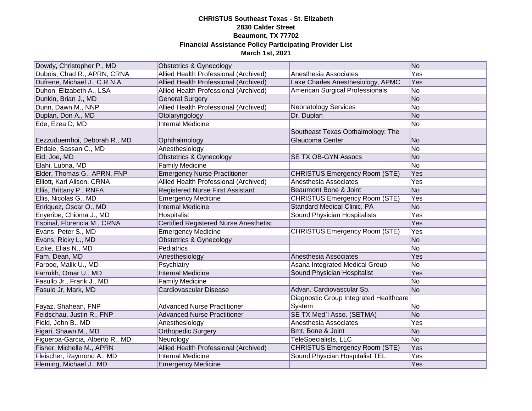| Dowdy, Christopher P., MD       | Obstetrics & Gynecology                       |                                        | No             |
|---------------------------------|-----------------------------------------------|----------------------------------------|----------------|
| Dubois, Chad R., APRN, CRNA     | Allied Health Professional (Archived)         | Anesthesia Associates                  | <b>Yes</b>     |
| Dufrene, Michael J., C.R.N.A.   | Allied Health Professional (Archived)         | Lake Charles Anesthesiology, APMC      | <b>Yes</b>     |
| Duhon, Elizabeth A., LSA        | Allied Health Professional (Archived)         | American Surgical Professionals        | No             |
| Dunkin, Brian J., MD            | <b>General Surgery</b>                        |                                        | No             |
| Dunn, Dawn M., NNP              | Allied Health Professional (Archived)         | <b>Neonatology Services</b>            | No             |
| Duplan, Don A., MD              | Otolaryngology                                | Dr. Duplan                             | No             |
| Ede, Ezea D, MD                 | <b>Internal Medicine</b>                      |                                        | No             |
|                                 |                                               | Southeast Texas Opthalmology: The      |                |
| Eezzuduemhoi, Deborah R., MD    | Ophthalmology                                 | Glaucoma Center                        | No             |
| Ehdaie, Sassan C., MD           | Anesthesiology                                |                                        | <b>No</b>      |
| Eid, Joe, MD                    | <b>Obstetrics &amp; Gynecology</b>            | SE TX OB-GYN Assocs                    | <b>No</b>      |
| Elahi, Lubna, MD                | <b>Family Medicine</b>                        |                                        | No             |
| Elder, Thomas G., APRN, FNP     | <b>Emergency Nurse Practitioner</b>           | <b>CHRISTUS Emergency Room (STE)</b>   | Yes            |
| Elliott, Kari Alison, CRNA      | Allied Health Professional (Archived)         | Anesthesia Associates                  | Yes            |
| Ellis, Brittany P., RNFA        | <b>Registered Nurse First Assistant</b>       | Beaumont Bone & Joint                  | N <sub>o</sub> |
| Ellis, Nicolas G., MD           | <b>Emergency Medicine</b>                     | <b>CHRISTUS Emergency Room (STE)</b>   | Yes            |
| Enriquez, Oscar O., MD          | <b>Internal Medicine</b>                      | Standard Medical Clinic, PA            | <b>No</b>      |
| Enyeribe, Chioma J., MD         | Hospitalist                                   | Sound Physician Hospitalists           | Yes            |
| Espinal, Florencia M., CRNA     | <b>Certified Registered Nurse Anesthetist</b> |                                        | Yes            |
| Evans, Peter S., MD             | <b>Emergency Medicine</b>                     | <b>CHRISTUS Emergency Room (STE)</b>   | Yes            |
| Evans, Ricky L., MD             | <b>Obstetrics &amp; Gynecology</b>            |                                        | No             |
| Ezike, Elias N., MD             | Pediatrics                                    |                                        | <b>No</b>      |
| Fam, Dean, MD                   | Anesthesiology                                | Anesthesia Associates                  | Yes            |
| Farooq, Malik U., MD            | Psychiatry                                    | Asana Integrated Medical Group         | <b>No</b>      |
| Farrukh, Omar U., MD            | <b>Internal Medicine</b>                      | Sound Physician Hospitalist            | Yes            |
| Fasullo Jr., Frank J., MD       | <b>Family Medicine</b>                        |                                        | <b>No</b>      |
| Fasulo Jr, Mark, MD             | Cardiovascular Disease                        | Advan. Cardiovascular Sp.              | No             |
|                                 |                                               | Diagnostic Group Integrated Healthcare |                |
| Fayaz, Shahean, FNP             | <b>Advanced Nurse Practitioner</b>            | System                                 | No             |
| Feldschau, Justin R., FNP       | <b>Advanced Nurse Practitioner</b>            | SE TX Med'l Asso. (SETMA)              | No             |
| Field, John B., MD              | Anesthesiology                                | Anesthesia Associates                  | Yes            |
| Figari, Shawn M., MD            | <b>Orthopedic Surgery</b>                     | Bmt. Bone & Joint                      | No             |
| Figueroa-Garcia, Alberto R., MD | Neurology                                     | TeleSpecialists, LLC                   | No             |
| Fisher, Michelle M., APRN       | Allied Health Professional (Archived)         | <b>CHRISTUS Emergency Room (STE)</b>   | Yes            |
| Fleischer, Raymond A., MD       | <b>Internal Medicine</b>                      | Sound Physcian Hospitalist TEL         | Yes            |
| Fleming, Michael J., MD         | <b>Emergency Medicine</b>                     |                                        | Yes            |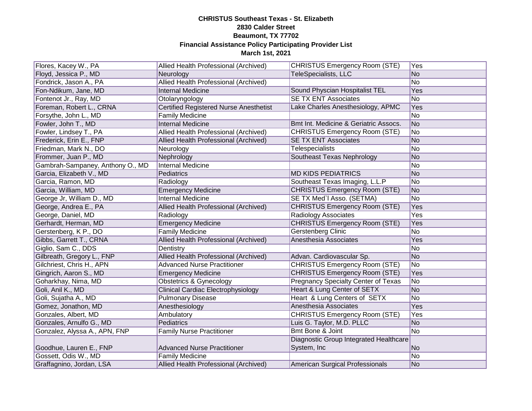| Flores, Kacey W., PA             | Allied Health Professional (Archived)         | <b>CHRISTUS Emergency Room (STE)</b>       | Yes            |
|----------------------------------|-----------------------------------------------|--------------------------------------------|----------------|
| Floyd, Jessica P., MD            | Neurology                                     | <b>TeleSpecialists, LLC</b>                | No             |
| Fondrick, Jason A., PA           | Allied Health Professional (Archived)         |                                            | No             |
| Fon-Ndikum, Jane, MD             | <b>Internal Medicine</b>                      | Sound Physcian Hospitalist TEL             | Yes            |
| Fontenot Jr., Ray, MD            | Otolaryngology                                | <b>SE TX ENT Associates</b>                | N <sub>o</sub> |
| Foreman, Robert L., CRNA         | <b>Certified Registered Nurse Anesthetist</b> | Lake Charles Anesthesiology, APMC          | Yes            |
| Forsythe, John L., MD            | <b>Family Medicine</b>                        |                                            | No             |
| Fowler, John T., MD              | <b>Internal Medicine</b>                      | Bmt Int. Medicine & Geriatric Assocs.      | No             |
| Fowler, Lindsey T., PA           | Allied Health Professional (Archived)         | <b>CHRISTUS Emergency Room (STE)</b>       | No             |
| Frederick, Erin E., FNP          | Allied Health Professional (Archived)         | <b>SE TX ENT Associates</b>                | No             |
| Friedman, Mark N., DO            | Neurology                                     | <b>Telespecialists</b>                     | No             |
| Frommer, Juan P., MD             | Nephrology                                    | Southeast Texas Nephrology                 | No             |
| Gambrah-Sampaney, Anthony O., MD | <b>Internal Medicine</b>                      |                                            | No             |
| Garcia, Elizabeth V., MD         | Pediatrics                                    | <b>MD KIDS PEDIATRICS</b>                  | No             |
| Garcia, Ramon, MD                | Radiology                                     | Southeast Texas Imaging, L.L.P             | No             |
| Garcia, William, MD              | <b>Emergency Medicine</b>                     | <b>CHRISTUS Emergency Room (STE)</b>       | N <sub>o</sub> |
| George Jr, William D., MD        | Internal Medicine                             | SE TX Med'l Asso. (SETMA)                  | No             |
| George, Andrea E., PA            | Allied Health Professional (Archived)         | <b>CHRISTUS Emergency Room (STE)</b>       | Yes            |
| George, Daniel, MD               | Radiology                                     | Radiology Associates                       | Yes            |
| Gerhardt, Herman, MD             | <b>Emergency Medicine</b>                     | <b>CHRISTUS Emergency Room (STE)</b>       | Yes            |
| Gerstenberg, K P., DO            | <b>Family Medicine</b>                        | <b>Gerstenberg Clinic</b>                  | No             |
| Gibbs, Garrett T., CRNA          | Allied Health Professional (Archived)         | Anesthesia Associates                      | Yes            |
| Giglio, Sam C., DDS              | Dentistry                                     |                                            | No             |
| Gilbreath, Gregory L., FNP       | Allied Health Professional (Archived)         | Advan. Cardiovascular Sp.                  | No             |
| Gilchriest, Chris H., APN        | <b>Advanced Nurse Practitioner</b>            | <b>CHRISTUS Emergency Room (STE)</b>       | No             |
| Gingrich, Aaron S., MD           | <b>Emergency Medicine</b>                     | <b>CHRISTUS Emergency Room (STE)</b>       | Yes            |
| Goharkhay, Nima, MD              | <b>Obstetrics &amp; Gynecology</b>            | <b>Pregnancy Specialty Center of Texas</b> | No             |
| Goli, Anil K., MD                | <b>Clinical Cardiac Electrophysiology</b>     | Heart & Lung Center of SETX                | No             |
| Goli, Sujatha A., MD             | <b>Pulmonary Disease</b>                      | Heart & Lung Centers of SETX               | No             |
| Gomez, Jonathon, MD              | Anesthesiology                                | Anesthesia Associates                      | <b>Yes</b>     |
| Gonzales, Albert, MD             | Ambulatory                                    | <b>CHRISTUS Emergency Room (STE)</b>       | Yes            |
| Gonzales, Arnulfo G., MD         | Pediatrics                                    | Luis G. Taylor, M.D. PLLC                  | N <sub>o</sub> |
| Gonzalez, Alyssa A., APN, FNP    | <b>Family Nurse Practitioner</b>              | <b>Bmt Bone &amp; Joint</b>                | No             |
|                                  |                                               | Diagnostic Group Integrated Healthcare     |                |
| Goodhue, Lauren E., FNP          | <b>Advanced Nurse Practitioner</b>            | System, Inc                                | N <sub>o</sub> |
| Gossett, Odis W., MD             | <b>Family Medicine</b>                        |                                            | No             |
| Graffagnino, Jordan, LSA         | Allied Health Professional (Archived)         | American Surgical Professionals            | No             |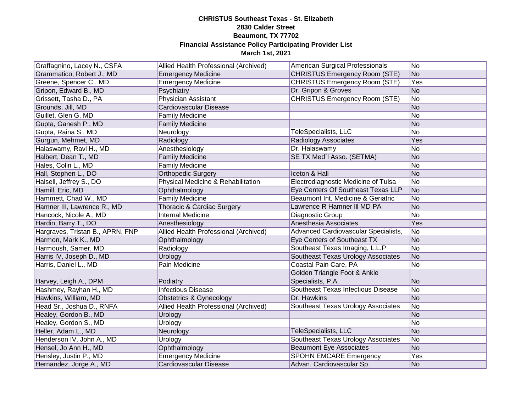| Graffagnino, Lacey N., CSFA      | Allied Health Professional (Archived) | American Surgical Professionals      | No.            |
|----------------------------------|---------------------------------------|--------------------------------------|----------------|
| Grammatico, Robert J., MD        | <b>Emergency Medicine</b>             | <b>CHRISTUS Emergency Room (STE)</b> | No             |
| Greene, Spencer C., MD           | <b>Emergency Medicine</b>             | <b>CHRISTUS Emergency Room (STE)</b> | Yes            |
| Gripon, Edward B., MD            | Psychiatry                            | Dr. Gripon & Groves                  | No             |
| Grissett, Tasha D., PA           | Physician Assistant                   | <b>CHRISTUS Emergency Room (STE)</b> | No             |
| Grounds, Jill, MD                | Cardiovascular Disease                |                                      | No             |
| Guillet, Glen G, MD              | <b>Family Medicine</b>                |                                      | No             |
| Gupta, Ganesh P., MD             | <b>Family Medicine</b>                |                                      | No             |
| Gupta, Raina S., MD              | Neurology                             | TeleSpecialists, LLC                 | No             |
| Gurgun, Mehmet, MD               | Radiology                             | Radiology Associates                 | Yes            |
| Halaswamy, Ravi H., MD           | Anesthesiology                        | Dr. Halaswamy                        | No             |
| Halbert, Dean T., MD             | <b>Family Medicine</b>                | SE TX Med'l Asso. (SETMA)            | No             |
| Hales, Colin L., MD              | <b>Family Medicine</b>                |                                      | No             |
| Hall, Stephen L., DO             | <b>Orthopedic Surgery</b>             | Iceton & Hall                        | No             |
| Halsell, Jeffrey S., DO          | Physical Medicine & Rehabilitation    | Electrodiagnostic Medicine of Tulsa  | No             |
| Hamill, Eric, MD                 | Ophthalmology                         | Eye Centers Of Southeast Texas LLP   | No             |
| Hammett, Chad W., MD             | <b>Family Medicine</b>                | Beaumont Int. Medicine & Geriatric   | N <sub>o</sub> |
| Hamner III, Lawrence R., MD      | Thoracic & Cardiac Surgery            | Lawrence R Hamner III MD PA          | No             |
| Hancock, Nicole A., MD           | <b>Internal Medicine</b>              | Diagnostic Group                     | No             |
| Hardin, Barry T., DO             | Anesthesiology                        | Anesthesia Associates                | Yes            |
| Hargraves, Tristan B., APRN, FNP | Allied Health Professional (Archived) | Advanced Cardiovascular Specialists, | No             |
| Harmon, Mark K., MD              | Ophthalmology                         | Eye Centers of Southeast TX          | No             |
| Harmoush, Samer, MD              | Radiology                             | Southeast Texas Imaging, L.L.P       | No             |
| Harris IV, Joseph D., MD         | Urology                               | Southeast Texas Urology Associates   | No             |
| Harris, Daniel L., MD            | Pain Medicine                         | Coastal Pain Care, PA                | No             |
|                                  |                                       | Golden Triangle Foot & Ankle         |                |
| Harvey, Leigh A., DPM            | Podiatry                              | Specialists, P.A.                    | No             |
| Hashmey, Rayhan H., MD           | <b>Infectious Disease</b>             | Southeast Texas Infectious Disease   | No             |
| Hawkins, William, MD             | <b>Obstetrics &amp; Gynecology</b>    | Dr. Hawkins                          | No             |
| Head Sr., Joshua D., RNFA        | Allied Health Professional (Archived) | Southeast Texas Urology Associates   | No             |
| Healey, Gordon B., MD            | Urology                               |                                      | No             |
| Healey, Gordon S., MD            | Urology                               |                                      | No             |
| Heller, Adam L., MD              | Neurology                             | TeleSpecialists, LLC                 | No             |
| Henderson IV, John A., MD        | Urology                               | Southeast Texas Urology Associates   | No             |
| Hensel, Jo Ann H., MD            | Ophthalmology                         | <b>Beaumont Eye Associates</b>       | <b>No</b>      |
| Hensley, Justin P., MD           | <b>Emergency Medicine</b>             | <b>SPOHN EMCARE Emergency</b>        | Yes            |
| Hernandez, Jorge A., MD          | Cardiovascular Disease                | Advan. Cardiovascular Sp.            | No             |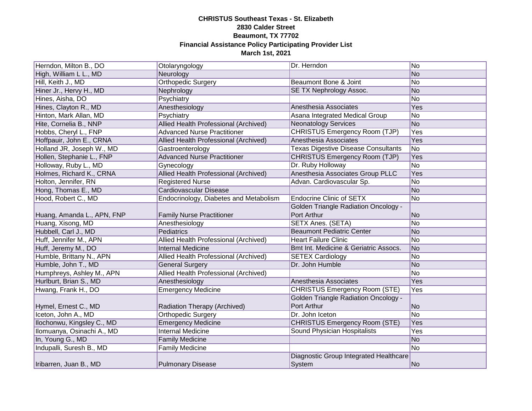| Herndon, Milton B., DO     | Otolaryngology                         | Dr. Herndon                                 | No             |
|----------------------------|----------------------------------------|---------------------------------------------|----------------|
| High, William L L., MD     | Neurology                              |                                             | No             |
| Hill, Keith J., MD         | <b>Orthopedic Surgery</b>              | Beaumont Bone & Joint                       | No             |
| Hiner Jr., Hervy H., MD    | Nephrology                             | SE TX Nephrology Assoc.                     | No             |
| Hines, Aisha, DO           | Psychiatry                             |                                             | No             |
| Hines, Clayton R., MD      | Anesthesiology                         | Anesthesia Associates                       | Yes            |
| Hinton, Mark Allan, MD     | Psychiatry                             | Asana Integrated Medical Group              | No             |
| Hite, Cornelia B., NNP     | Allied Health Professional (Archived)  | <b>Neonatology Services</b>                 | No             |
| Hobbs, Cheryl L., FNP      | <b>Advanced Nurse Practitioner</b>     | <b>CHRISTUS Emergency Room (TJP)</b>        | Yes            |
| Hoffpauir, John E., CRNA   | Allied Health Professional (Archived)  | Anesthesia Associates                       | Yes            |
| Holland JR, Joseph W., MD  | Gastroenterology                       | <b>Texas Digestive Disease Consultants</b>  | No             |
| Hollen, Stephanie L., FNP  | <b>Advanced Nurse Practitioner</b>     | CHRISTUS Emergency Room (TJP)               | Yes            |
| Holloway, Ruby L., MD      | Gynecology                             | Dr. Ruby Holloway                           | <b>No</b>      |
| Holmes, Richard K., CRNA   | Allied Health Professional (Archived)  | Anesthesia Associates Group PLLC            | Yes            |
| Holton, Jennifer, RN       | <b>Registered Nurse</b>                | Advan. Cardiovascular Sp.                   | No             |
| Hong, Thomas E., MD        | Cardiovascular Disease                 |                                             | No             |
| Hood, Robert C., MD        | Endocrinology, Diabetes and Metabolism | <b>Endocrine Clinic of SETX</b>             | No             |
|                            |                                        | <b>Golden Triangle Radiation Oncology -</b> |                |
| Huang, Amanda L., APN, FNP | <b>Family Nurse Practitioner</b>       | Port Arthur                                 | N <sub>o</sub> |
| Huang, Xisong, MD          | Anesthesiology                         | <b>SETX Anes. (SETA)</b>                    | No             |
| Hubbell, Carl J., MD       | Pediatrics                             | <b>Beaumont Pediatric Center</b>            | No             |
| Huff, Jennifer M., APN     | Allied Health Professional (Archived)  | <b>Heart Failure Clinic</b>                 | N <sub>o</sub> |
| Huff, Jeremy M., DO        | <b>Internal Medicine</b>               | Bmt Int. Medicine & Geriatric Assocs.       | No             |
| Humble, Brittany N., APN   | Allied Health Professional (Archived)  | <b>SETEX Cardiology</b>                     | <b>No</b>      |
| Humble, John T., MD        | <b>General Surgery</b>                 | Dr. John Humble                             | No             |
| Humphreys, Ashley M., APN  | Allied Health Professional (Archived)  |                                             | No             |
| Hurlburt, Brian S., MD     | Anesthesiology                         | Anesthesia Associates                       | Yes            |
| Hwang, Frank H., DO        | <b>Emergency Medicine</b>              | <b>CHRISTUS Emergency Room (STE)</b>        | Yes            |
|                            |                                        | <b>Golden Triangle Radiation Oncology -</b> |                |
| Hymel, Ernest C., MD       | Radiation Therapy (Archived)           | Port Arthur                                 | <b>No</b>      |
| Iceton, John A., MD        | <b>Orthopedic Surgery</b>              | Dr. John Iceton                             | No             |
| Ilochonwu, Kingsley C., MD | <b>Emergency Medicine</b>              | <b>CHRISTUS Emergency Room (STE)</b>        | Yes            |
| Ilomuanya, Osinachi A., MD | <b>Internal Medicine</b>               | Sound Physician Hospitalists                | Yes            |
| In, Young G., MD           | <b>Family Medicine</b>                 |                                             | No             |
| Indupalli, Suresh B., MD   | <b>Family Medicine</b>                 |                                             | No             |
|                            |                                        | Diagnostic Group Integrated Healthcare      |                |
| Iribarren, Juan B., MD     | <b>Pulmonary Disease</b>               | System                                      | No             |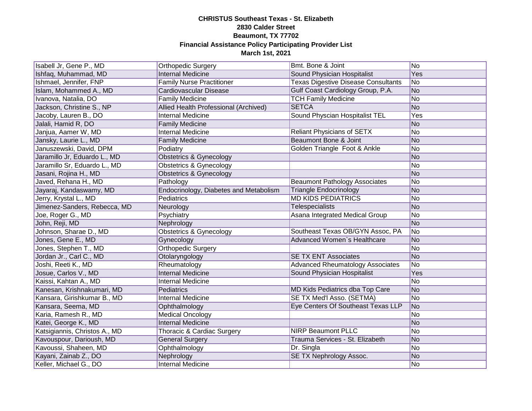| Isabell Jr, Gene P., MD       | <b>Orthopedic Surgery</b>              | Bmt. Bone & Joint                          | No             |
|-------------------------------|----------------------------------------|--------------------------------------------|----------------|
| Ishfaq, Muhammad, MD          | <b>Internal Medicine</b>               | Sound Physician Hospitalist                | Yes            |
| Ishmael, Jennifer, FNP        | <b>Family Nurse Practitioner</b>       | <b>Texas Digestive Disease Consultants</b> | No             |
| Islam, Mohammed A., MD        | Cardiovascular Disease                 | Gulf Coast Cardiology Group, P.A.          | No             |
| Ivanova, Natalia, DO          | <b>Family Medicine</b>                 | <b>TCH Family Medicine</b>                 | No             |
| Jackson, Christine S., NP     | Allied Health Professional (Archived)  | <b>SETCA</b>                               | No             |
| Jacoby, Lauren B., DO         | <b>Internal Medicine</b>               | Sound Physcian Hospitalist TEL             | Yes            |
| Jalali, Hamid R, DO           | <b>Family Medicine</b>                 |                                            | No             |
| Janjua, Aamer W, MD           | <b>Internal Medicine</b>               | <b>Reliant Physicians of SETX</b>          | No             |
| Jansky, Laurie L., MD         | <b>Family Medicine</b>                 | Beaumont Bone & Joint                      | No             |
| Januszewski, David, DPM       | Podiatry                               | Golden Triangle Foot & Ankle               | No             |
| Jaramillo Jr, Eduardo L., MD  | <b>Obstetrics &amp; Gynecology</b>     |                                            | No             |
| Jaramillo Sr, Eduardo L., MD  | <b>Obstetrics &amp; Gynecology</b>     |                                            | No             |
| Jasani, Rojina H., MD         | <b>Obstetrics &amp; Gynecology</b>     |                                            | No             |
| Javed, Rehana H., MD          | Pathology                              | <b>Beaumont Pathology Associates</b>       | No             |
| Jayaraj, Kandaswamy, MD       | Endocrinology, Diabetes and Metabolism | <b>Triangle Endocrinology</b>              | No             |
| Jerry, Krystal L., MD         | Pediatrics                             | <b>MD KIDS PEDIATRICS</b>                  | N <sub>o</sub> |
| Jimenez-Sanders, Rebecca, MD  | Neurology                              | Telespecialists                            | No             |
| Joe, Roger G., MD             | Psychiatry                             | Asana Integrated Medical Group             | No             |
| John, Reji, MD                | Nephrology                             |                                            | No             |
| Johnson, Sharae D., MD        | <b>Obstetrics &amp; Gynecology</b>     | Southeast Texas OB/GYN Assoc, PA           | No             |
| Jones, Gene E., MD            | Gynecology                             | Advanced Women's Healthcare                | No             |
| Jones, Stephen T., MD         | <b>Orthopedic Surgery</b>              |                                            | No             |
| Jordan Jr., Carl C., MD       | Otolaryngology                         | <b>SE TX ENT Associates</b>                | No             |
| Joshi, Reeti K., MD           | Rheumatology                           | <b>Advanced Rheumatology Associates</b>    | No             |
| Josue, Carlos V., MD          | <b>Internal Medicine</b>               | Sound Physician Hospitalist                | Yes            |
| Kaissi, Kahtan A., MD         | <b>Internal Medicine</b>               |                                            | No             |
| Kanesan, Krishnakumari, MD    | Pediatrics                             | MD Kids Pediatrics dba Top Care            | No             |
| Kansara, Girishkumar B., MD   | <b>Internal Medicine</b>               | <b>SE TX Med'l Asso. (SETMA)</b>           | No.            |
| Kansara, Seema, MD            | Ophthalmology                          | Eye Centers Of Southeast Texas LLP         | No             |
| Karia, Ramesh R., MD          | <b>Medical Oncology</b>                |                                            | No             |
| Katei, George K., MD          | <b>Internal Medicine</b>               |                                            | No             |
| Katsigiannis, Christos A., MD | Thoracic & Cardiac Surgery             | <b>NIRP Beaumont PLLC</b>                  | No             |
| Kavouspour, Darioush, MD      | <b>General Surgery</b>                 | Trauma Services - St. Elizabeth            | No             |
| Kavoussi, Shaheen, MD         | Ophthalmology                          | Dr. Singla                                 | No             |
| Kayani, Zainab Z., DO         | Nephrology                             | SE TX Nephrology Assoc.                    | No             |
| Keller, Michael G., DO        | Internal Medicine                      |                                            | No.            |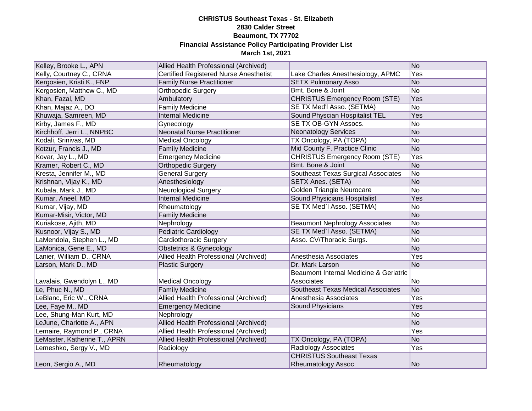| Kelley, Brooke L., APN       | Allied Health Professional (Archived)         |                                           | No             |
|------------------------------|-----------------------------------------------|-------------------------------------------|----------------|
| Kelly, Courtney C., CRNA     | <b>Certified Registered Nurse Anesthetist</b> | Lake Charles Anesthesiology, APMC         | Yes            |
| Kergosien, Kristi K., FNP    | <b>Family Nurse Practitioner</b>              | <b>SETX Pulmonary Asso</b>                | N <sub>O</sub> |
| Kergosien, Matthew C., MD    | <b>Orthopedic Surgery</b>                     | Bmt. Bone & Joint                         | N <sub>o</sub> |
| Khan, Fazal, MD              | Ambulatory                                    | <b>CHRISTUS Emergency Room (STE)</b>      | Yes            |
| Khan, Majaz A., DO           | <b>Family Medicine</b>                        | SE TX Med'l Asso. (SETMA)                 | <b>No</b>      |
| Khuwaja, Samreen, MD         | <b>Internal Medicine</b>                      | Sound Physcian Hospitalist TEL            | Yes            |
| Kirby, James F., MD          | Gynecology                                    | SE TX OB-GYN Assocs.                      | No             |
| Kirchhoff, Jerri L., NNPBC   | <b>Neonatal Nurse Practitioner</b>            | <b>Neonatology Services</b>               | No             |
| Kodali, Srinivas, MD         | <b>Medical Oncology</b>                       | TX Oncology, PA (TOPA)                    | <b>No</b>      |
| Kotzur, Francis J., MD       | <b>Family Medicine</b>                        | Mid County F. Practice Clinic             | N <sub>o</sub> |
| Kovar, Jay L., MD            | <b>Emergency Medicine</b>                     | <b>CHRISTUS Emergency Room (STE)</b>      | Yes            |
| Kramer, Robert C., MD        | <b>Orthopedic Surgery</b>                     | Bmt. Bone & Joint                         | N <sub>o</sub> |
| Kresta, Jennifer M., MD      | General Surgery                               | Southeast Texas Surgical Associates       | N <sub>o</sub> |
| Krishnan, Vijay K., MD       | Anesthesiology                                | SETX Anes. (SETA)                         | N <sub>o</sub> |
| Kubala, Mark J., MD          | <b>Neurological Surgery</b>                   | <b>Golden Triangle Neurocare</b>          | No             |
| Kumar, Aneel, MD             | <b>Internal Medicine</b>                      | <b>Sound Physicians Hospitalist</b>       | Yes            |
| Kumar, Vijay, MD             | Rheumatology                                  | SE TX Med'l Asso. (SETMA)                 | No             |
| Kumar-Misir, Victor, MD      | <b>Family Medicine</b>                        |                                           | N <sub>o</sub> |
| Kuriakose, Ajith, MD         | Nephrology                                    | <b>Beaumont Nephrology Associates</b>     | No             |
| Kusnoor, Vijay S., MD        | Pediatric Cardiology                          | SE TX Med'l Asso. (SETMA)                 | N <sub>o</sub> |
| LaMendola, Stephen L., MD    | Cardiothoracic Surgery                        | Asso. CV/Thoracic Surgs.                  | No             |
| LaMonica, Gene E., MD        | <b>Obstetrics &amp; Gynecology</b>            |                                           | N <sub>o</sub> |
| Lanier, William D., CRNA     | Allied Health Professional (Archived)         | Anesthesia Associates                     | Yes            |
| Larson, Mark D., MD          | <b>Plastic Surgery</b>                        | Dr. Mark Larson                           | N <sub>o</sub> |
|                              |                                               | Beaumont Internal Medicine & Geriatric    |                |
| Lavalais, Gwendolyn L., MD   | <b>Medical Oncology</b>                       | Associates                                | No             |
| Le, Phuc N., MD              | <b>Family Medicine</b>                        | <b>Southeast Texas Medical Associates</b> | N <sub>o</sub> |
| LeBlanc, Eric W., CRNA       | Allied Health Professional (Archived)         | Anesthesia Associates                     | Yes            |
| Lee, Faye M., MD             | <b>Emergency Medicine</b>                     | Sound Physicians                          | Yes            |
| Lee, Shung-Man Kurt, MD      | Nephrology                                    |                                           | N <sub>o</sub> |
| LeJune, Charlotte A., APN    | Allied Health Professional (Archived)         |                                           | N <sub>o</sub> |
| Lemaire, Raymond P., CRNA    | Allied Health Professional (Archived)         |                                           | Yes            |
| LeMaster, Katherine T., APRN | Allied Health Professional (Archived)         | TX Oncology, PA (TOPA)                    | N <sub>o</sub> |
| Lemeshko, Sergy V., MD       | Radiology                                     | <b>Radiology Associates</b>               | Yes            |
|                              |                                               | <b>CHRISTUS Southeast Texas</b>           |                |
| Leon, Sergio A., MD          | Rheumatology                                  | <b>Rheumatology Assoc</b>                 | No.            |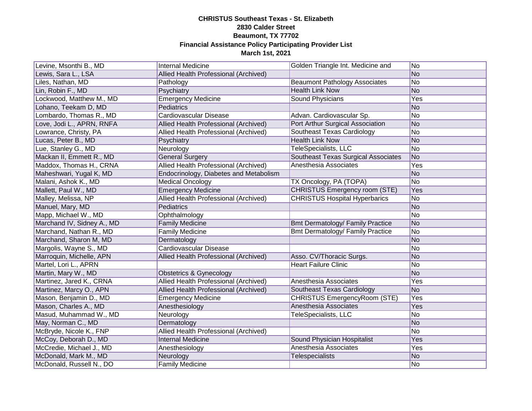| Levine, Msonthi B., MD     | Internal Medicine                      | Golden Triangle Int. Medicine and       | No             |
|----------------------------|----------------------------------------|-----------------------------------------|----------------|
| Lewis, Sara L., LSA        | Allied Health Professional (Archived)  |                                         | No             |
| Liles, Nathan, MD          | Pathology                              | <b>Beaumont Pathology Associates</b>    | N <sub>o</sub> |
| Lin, Robin F., MD          | Psychiatry                             | <b>Health Link Now</b>                  | No             |
| ockwood, Matthew M., MD    | <b>Emergency Medicine</b>              | Sound Physicians                        | <b>Yes</b>     |
| _ohano, Teekam D, MD       | Pediatrics                             |                                         | No             |
| _ombardo, Thomas R., MD    | Cardiovascular Disease                 | Advan. Cardiovascular Sp.               | No             |
| ove, Jodi L., APRN, RNFA   | Allied Health Professional (Archived)  | Port Arthur Surgical Association        | No             |
| Lowrance, Christy, PA      | Allied Health Professional (Archived)  | Southeast Texas Cardiology              | No             |
| Lucas, Peter B., MD        | Psychiatry                             | <b>Health Link Now</b>                  | No             |
| Lue, Stanley G., MD        | Neurology                              | TeleSpecialists, LLC                    | No             |
| Mackan II, Emmett R., MD   | <b>General Surgery</b>                 | Southeast Texas Surgical Associates     | No             |
| Maddox, Thomas H., CRNA    | Allied Health Professional (Archived)  | Anesthesia Associates                   | Yes            |
| Maheshwari, Yugal K, MD    | Endocrinology, Diabetes and Metabolism |                                         | N <sub>o</sub> |
| Malani, Ashok K., MD       | <b>Medical Oncology</b>                | TX Oncology, PA (TOPA)                  | No             |
| Mallett, Paul W., MD       | Emergency Medicine                     | <b>CHRISTUS Emergency room (STE)</b>    | Yes            |
| Malley, Melissa, NP        | Allied Health Professional (Archived)  | <b>CHRISTUS Hospital Hyperbarics</b>    | No             |
| Manuel, Mary, MD           | Pediatrics                             |                                         | No             |
| Mapp, Michael W., MD       | Ophthalmology                          |                                         | No             |
| Marchand IV, Sidney A., MD | <b>Family Medicine</b>                 | <b>Bmt Dermatology/ Family Practice</b> | No             |
| Marchand, Nathan R., MD    | <b>Family Medicine</b>                 | <b>Bmt Dermatology/ Family Practice</b> | No             |
| Marchand, Sharon M, MD     | Dermatology                            |                                         | No             |
| Margolis, Wayne S., MD     | Cardiovascular Disease                 |                                         | No             |
| Marroquin, Michelle, APN   | Allied Health Professional (Archived)  | Asso. CV/Thoracic Surgs.                | No             |
| Martel, Lori L., APRN      |                                        | <b>Heart Failure Clinic</b>             | No             |
| Martin, Mary W., MD        | <b>Obstetrics &amp; Gynecology</b>     |                                         | No             |
| Martinez, Jared K., CRNA   | Allied Health Professional (Archived)  | Anesthesia Associates                   | Yes            |
| Martinez, Marcy O., APN    | Allied Health Professional (Archived)  | Southeast Texas Cardiology              | N <sub>o</sub> |
| Mason, Benjamin D., MD     | <b>Emergency Medicine</b>              | <b>CHRISTUS EmergencyRoom (STE)</b>     | Yes            |
| Mason, Charles A., MD      | Anesthesiology                         | Anesthesia Associates                   | Yes            |
| Masud, Muhammad W., MD     | Neurology                              | TeleSpecialists, LLC                    | N <sub>o</sub> |
| May, Norman C., MD         | Dermatology                            |                                         | No             |
| McBryde, Nicole K., FNP    | Allied Health Professional (Archived)  |                                         | No             |
| McCoy, Deborah D., MD      | <b>Internal Medicine</b>               | Sound Physician Hospitalist             | Yes            |
| McCredie, Michael J., MD   | Anesthesiology                         | Anesthesia Associates                   | Yes            |
| McDonald, Mark M., MD      | Neurology                              | Telespecialists                         | No             |
| McDonald, Russell N., DO   | <b>Family Medicine</b>                 |                                         | No             |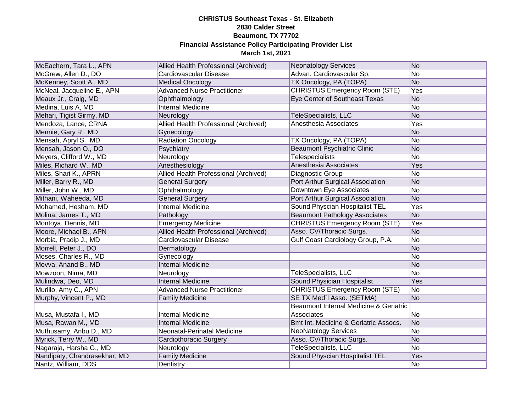| McEachern, Tara L., APN      | Allied Health Professional (Archived) | <b>Neonatology Services</b>            | No             |
|------------------------------|---------------------------------------|----------------------------------------|----------------|
| McGrew, Allen D., DO         | Cardiovascular Disease                | Advan. Cardiovascular Sp.              | No             |
| McKenney, Scott A., MD       | <b>Medical Oncology</b>               | TX Oncology, PA (TOPA)                 | N <sub>O</sub> |
| McNeal, Jacqueline E., APN   | <b>Advanced Nurse Practitioner</b>    | <b>CHRISTUS Emergency Room (STE)</b>   | Yes            |
| Meaux Jr., Craig, MD         | Ophthalmology                         | Eye Center of Southeast Texas          | N <sub>o</sub> |
| Medina, Luis A, MD           | <b>Internal Medicine</b>              |                                        | No             |
| Mehari, Tigist Girmy, MD     | Neurology                             | TeleSpecialists, LLC                   | No             |
| Mendoza, Lance, CRNA         | Allied Health Professional (Archived) | Anesthesia Associates                  | Yes            |
| Mennie, Gary R., MD          | Gynecology                            |                                        | N <sub>o</sub> |
| Mensah, Apryl S., MD         | <b>Radiation Oncology</b>             | TX Oncology, PA (TOPA)                 | No             |
| Mensah, Jason O., DO         | Psychiatry                            | <b>Beaumont Psychiatric Clinic</b>     | <b>No</b>      |
| Meyers, Clifford W., MD      | Neurology                             | <b>Telespecialists</b>                 | No             |
| Miles, Richard W., MD        | Anesthesiology                        | Anesthesia Associates                  | Yes            |
| Miles, Shari K., APRN        | Allied Health Professional (Archived) | Diagnostic Group                       | No             |
| Miller, Barry R., MD         | <b>General Surgery</b>                | Port Arthur Surgical Association       | N <sub>o</sub> |
| Miller, John W., MD          | Ophthalmology                         | Downtown Eye Associates                | No             |
| Mithani, Waheeda, MD         | <b>General Surgery</b>                | Port Arthur Surgical Association       | N <sub>o</sub> |
| Mohamed, Hesham, MD          | <b>Internal Medicine</b>              | Sound Physcian Hospitalist TEL         | Yes            |
| Molina, James T., MD         | Pathology                             | <b>Beaumont Pathology Associates</b>   | N <sub>o</sub> |
| Montoya, Dennis, MD          | <b>Emergency Medicine</b>             | <b>CHRISTUS Emergency Room (STE)</b>   | Yes            |
| Moore, Michael B., APN       | Allied Health Professional (Archived) | Asso. CV/Thoracic Surgs.               | N <sub>o</sub> |
| Morbia, Pradip J., MD        | Cardiovascular Disease                | Gulf Coast Cardiology Group, P.A.      | No             |
| Morrell, Peter J., DO        | Dermatology                           |                                        | No             |
| Moses, Charles R., MD        | Gynecology                            |                                        | No             |
| Movva, Anand B., MD          | <b>Internal Medicine</b>              |                                        | No             |
| Mowzoon, Nima, MD            | Neurology                             | TeleSpecialists, LLC                   | N <sub>o</sub> |
| Mulindwa, Deo, MD            | <b>Internal Medicine</b>              | Sound Physician Hospitalist            | Yes            |
| Murillo, Amy C., APN         | <b>Advanced Nurse Practitioner</b>    | <b>CHRISTUS Emergency Room (STE)</b>   | N <sub>o</sub> |
| Murphy, Vincent P., MD       | <b>Family Medicine</b>                | SE TX Med'l Asso. (SETMA)              | No             |
|                              |                                       | Beaumont Internal Medicine & Geriatric |                |
| Musa, Mustafa I., MD         | <b>Internal Medicine</b>              | Associates                             | No             |
| Musa, Rawan M., MD           | <b>Internal Medicine</b>              | Bmt Int. Medicine & Geriatric Assocs.  | No             |
| Muthusamy, Anbu D., MD       | Neonatal-Perinatal Medicine           | <b>NeoNatology Services</b>            | N <sub>o</sub> |
| Myrick, Terry W., MD         | Cardiothoracic Surgery                | Asso. CV/Thoracic Surgs.               | N <sub>o</sub> |
| Nagaraja, Harsha G., MD      | Neurology                             | TeleSpecialists, LLC                   | No             |
| Nandipaty, Chandrasekhar, MD | <b>Family Medicine</b>                | Sound Physcian Hospitalist TEL         | Yes            |
| Nantz, William, DDS          | Dentistry                             |                                        | No             |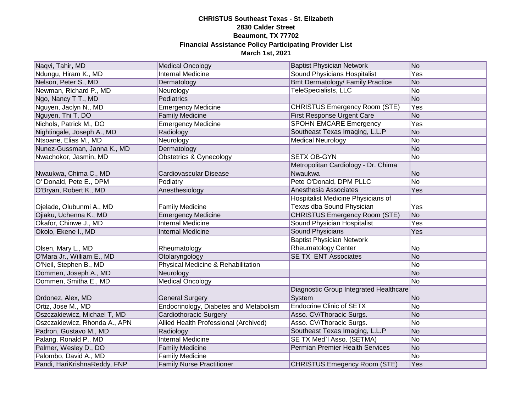| Naqvi, Tahir, MD              | <b>Medical Oncology</b>                | <b>Baptist Physician Network</b>        | No              |
|-------------------------------|----------------------------------------|-----------------------------------------|-----------------|
| Ndungu, Hiram K., MD          | <b>Internal Medicine</b>               | <b>Sound Physicians Hospitalist</b>     | <b>Yes</b>      |
| Nelson, Peter S., MD          | Dermatology                            | <b>Bmt Dermatology/ Family Practice</b> | <b>No</b>       |
| Newman, Richard P., MD        | Neurology                              | <b>TeleSpecialists, LLC</b>             | $\overline{No}$ |
| Ngo, Nancy T T., MD           | Pediatrics                             |                                         | No              |
| Nguyen, Jaclyn N., MD         | <b>Emergency Medicine</b>              | <b>CHRISTUS Emergency Room (STE)</b>    | Yes             |
| Nguyen, Thi T, DO             | <b>Family Medicine</b>                 | <b>First Response Urgent Care</b>       | No              |
| Nichols, Patrick M., DO       | <b>Emergency Medicine</b>              | <b>SPOHN EMCARE Emergency</b>           | Yes             |
| Nightingale, Joseph A., MD    | Radiology                              | Southeast Texas Imaging, L.L.P          | <b>No</b>       |
| Ntsoane, Elias M., MD         | Neurology                              | <b>Medical Neurology</b>                | No              |
| Nunez-Gussman, Janna K., MD   | Dermatology                            |                                         | No              |
| Nwachokor, Jasmin, MD         | <b>Obstetrics &amp; Gynecology</b>     | <b>SETX OB-GYN</b>                      | No              |
|                               |                                        | Metropolitan Cardiology - Dr. Chima     |                 |
| Nwaukwa, Chima C., MD         | Cardiovascular Disease                 | Nwaukwa                                 | No              |
| O' Donald, Pete E., DPM       | Podiatry                               | Pete O'Donald, DPM PLLC                 | No              |
| O'Bryan, Robert K., MD        | Anesthesiology                         | Anesthesia Associates                   | Yes             |
|                               |                                        | Hospitalist Medicine Physicians of      |                 |
| Ojelade, Olubunmi A., MD      | <b>Family Medicine</b>                 | Texas dba Sound Physician               | Yes             |
| Ojiaku, Uchenna K., MD        | <b>Emergency Medicine</b>              | <b>CHRISTUS Emergency Room (STE)</b>    | <b>No</b>       |
| Okafor, Chinwe J., MD         | <b>Internal Medicine</b>               | Sound Physician Hospitalist             | Yes             |
| Okolo, Ekene I., MD           | <b>Internal Medicine</b>               | <b>Sound Physicians</b>                 | Yes             |
|                               |                                        | <b>Baptist Physician Network</b>        |                 |
| Olsen, Mary L., MD            | Rheumatology                           | <b>Rheumatology Center</b>              | No              |
| O'Mara Jr., William E., MD    | Otolaryngology                         | <b>SE TX ENT Associates</b>             | No              |
| O'Neil, Stephen B., MD        | Physical Medicine & Rehabilitation     |                                         | No              |
| Oommen, Joseph A., MD         | Neurology                              |                                         | No              |
| Oommen, Smitha E., MD         | <b>Medical Oncology</b>                |                                         | No              |
|                               |                                        | Diagnostic Group Integrated Healthcare  |                 |
| Ordonez, Alex, MD             | <b>General Surgery</b>                 | System                                  | <b>No</b>       |
| Ortiz, Jose M., MD            | Endocrinology, Diabetes and Metabolism | <b>Endocrine Clinic of SETX</b>         | No              |
| Oszczakiewicz, Michael T, MD  | Cardiothoracic Surgery                 | Asso. CV/Thoracic Surgs.                | No              |
| Oszczakiewicz, Rhonda A., APN | Allied Health Professional (Archived)  | Asso. CV/Thoracic Surgs.                | No              |
| Padron, Gustavo M., MD        | Radiology                              | Southeast Texas Imaging, L.L.P          | No              |
| Palang, Ronald P., MD         | <b>Internal Medicine</b>               | SE TX Med'l Asso. (SETMA)               | No              |
| Palmer, Wesley D., DO         | <b>Family Medicine</b>                 | <b>Permian Premier Health Services</b>  | No              |
| Palombo, David A., MD         | <b>Family Medicine</b>                 |                                         | No              |
| Pandi, HariKrishnaReddy, FNP  | <b>Family Nurse Practitioner</b>       | <b>CHRISTUS Emegency Room (STE)</b>     | Yes             |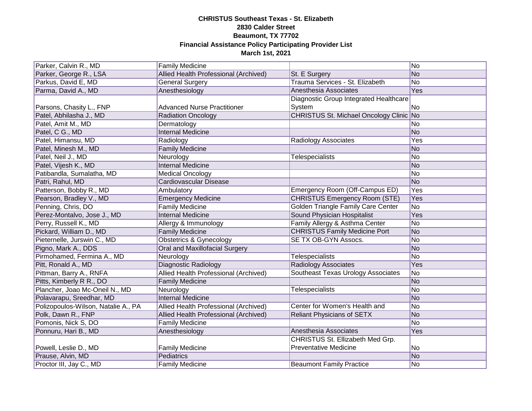| Parker, Calvin R., MD               | <b>Family Medicine</b>                |                                         | No        |
|-------------------------------------|---------------------------------------|-----------------------------------------|-----------|
| Parker, George R., LSA              | Allied Health Professional (Archived) | St. E Surgery                           | No        |
| Parkus, David E, MD                 | <b>General Surgery</b>                | Trauma Services - St. Elizabeth         | No        |
| Parma, David A., MD                 | Anesthesiology                        | Anesthesia Associates                   | Yes       |
|                                     |                                       | Diagnostic Group Integrated Healthcare  |           |
| Parsons, Chasity L., FNP            | <b>Advanced Nurse Practitioner</b>    | System                                  | No        |
| Patel, Abhilasha J., MD             | <b>Radiation Oncology</b>             | CHRISTUS St. Michael Oncology Clinic No |           |
| Patel, Amit M., MD                  | Dermatology                           |                                         | No        |
| Patel, C G., MD                     | Internal Medicine                     |                                         | <b>No</b> |
| Patel, Himansu, MD                  | Radiology                             | Radiology Associates                    | Yes       |
| Patel, Minesh M., MD                | <b>Family Medicine</b>                |                                         | No        |
| Patel, Neil J., MD                  | Neurology                             | <b>Telespecialists</b>                  | No        |
| Patel, Vijesh K., MD                | <b>Internal Medicine</b>              |                                         | No        |
| Patibandla, Sumalatha, MD           | <b>Medical Oncology</b>               |                                         | No        |
| Patri, Rahul, MD                    | Cardiovascular Disease                |                                         | No        |
| Patterson, Bobby R., MD             | Ambulatory                            | Emergency Room (Off-Campus ED)          | Yes       |
| Pearson, Bradley V., MD             | <b>Emergency Medicine</b>             | <b>CHRISTUS Emergency Room (STE)</b>    | Yes       |
| Penning, Chris, DO                  | <b>Family Medicine</b>                | Golden Triangle Family Care Center      | <b>No</b> |
| Perez-Montalvo, Jose J., MD         | <b>Internal Medicine</b>              | Sound Physician Hospitalist             | Yes       |
| Perry, Russell K., MD               | Allergy & Immunology                  | Family Allergy & Asthma Center          | No        |
| Pickard, William D., MD             | <b>Family Medicine</b>                | <b>CHRISTUS Family Medicine Port</b>    | <b>No</b> |
| Pieternelle, Jurswin C., MD         | <b>Obstetrics &amp; Gynecology</b>    | SE TX OB-GYN Assocs.                    | No        |
| Pigno, Mark A., DDS                 | Oral and Maxillofacial Surgery        |                                         | No        |
| Pirmohamed, Fermina A., MD          | Neurology                             | <b>Telespecialists</b>                  | No        |
| Pitt, Ronald A., MD                 | Diagnostic Radiology                  | <b>Radiology Associates</b>             | Yes       |
| Pittman, Barry A., RNFA             | Allied Health Professional (Archived) | Southeast Texas Urology Associates      | No        |
| Pitts, Kimberly R R., DO            | <b>Family Medicine</b>                |                                         | No        |
| Plancher, Joao Mc-Oneil N., MD      | Neurology                             | <b>Telespecialists</b>                  | No        |
| Polavarapu, Sreedhar, MD            | <b>Internal Medicine</b>              |                                         | No        |
| Polizopoulos-Wilson, Natalie A., PA | Allied Health Professional (Archived) | Center for Women's Health and           | No        |
| Polk, Dawn R., FNP                  | Allied Health Professional (Archived) | <b>Reliant Physicians of SETX</b>       | No        |
| Pomonis, Nick S, DO                 | <b>Family Medicine</b>                |                                         | No        |
| Ponnuru, Hari B., MD                | Anesthesiology                        | Anesthesia Associates                   | Yes       |
|                                     |                                       | CHRISTUS St. Ellizabeth Med Grp.        |           |
| Powell, Leslie D., MD               | <b>Family Medicine</b>                | <b>Preventative Medicine</b>            | No        |
| Prause, Alvin, MD                   | Pediatrics                            |                                         | <b>No</b> |
| Proctor III, Jay C., MD             | <b>Family Medicine</b>                | <b>Beaumont Family Practice</b>         | No        |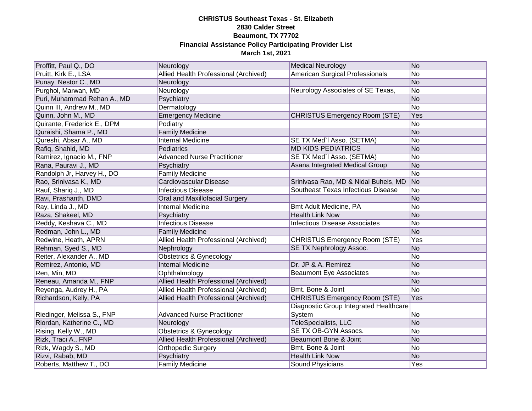| Proffitt, Paul Q., DO       | Neurology                                    | <b>Medical Neurology</b>               | No             |
|-----------------------------|----------------------------------------------|----------------------------------------|----------------|
| Pruitt, Kirk E., LSA        | <b>Allied Health Professional (Archived)</b> | American Surgical Professionals        | No             |
| Punay, Nestor C., MD        | Neurology                                    |                                        | N <sub>o</sub> |
| Purghol, Marwan, MD         | Neurology                                    | Neurology Associates of SE Texas,      | No             |
| Puri, Muhammad Rehan A., MD | Psychiatry                                   |                                        | No             |
| Quinn III, Andrew M., MD    | Dermatology                                  |                                        | N <sub>o</sub> |
| Quinn, John M., MD          | <b>Emergency Medicine</b>                    | <b>CHRISTUS Emergency Room (STE)</b>   | Yes            |
| Quirante, Frederick E., DPM | Podiatry                                     |                                        | No             |
| Quraishi, Shama P., MD      | <b>Family Medicine</b>                       |                                        | No             |
| Qureshi, Absar A., MD       | <b>Internal Medicine</b>                     | SE TX Med'l Asso. (SETMA)              | <b>No</b>      |
| Rafiq, Shahid, MD           | Pediatrics                                   | <b>MD KIDS PEDIATRICS</b>              | No             |
| Ramirez, Ignacio M., FNP    | <b>Advanced Nurse Practitioner</b>           | SE TX Med'l Asso. (SETMA)              | No             |
| Rana, Pauravi J., MD        | Psychiatry                                   | Asana Integrated Medical Group         | N <sub>o</sub> |
| Randolph Jr, Harvey H., DO  | <b>Family Medicine</b>                       |                                        | No             |
| Rao, Srinivasa K., MD       | Cardiovascular Disease                       | Srinivasa Rao, MD & Nidal Buheis, MD   | No             |
| Rauf, Shariq J., MD         | <b>Infectious Disease</b>                    | Southeast Texas Infectious Disease     | No             |
| Ravi, Prashanth, DMD        | Oral and Maxillofacial Surgery               |                                        | N <sub>o</sub> |
| Ray, Linda J., MD           | <b>Internal Medicine</b>                     | Bmt Adult Medicine, PA                 | No             |
| Raza, Shakeel, MD           | Psychiatry                                   | <b>Health Link Now</b>                 | N <sub>o</sub> |
| Reddy, Keshava C., MD       | <b>Infectious Disease</b>                    | <b>Infectious Disease Associates</b>   | No             |
| Redman, John L., MD         | <b>Family Medicine</b>                       |                                        | No             |
| Redwine, Heath, APRN        | Allied Health Professional (Archived)        | <b>CHRISTUS Emergency Room (STE)</b>   | Yes            |
| Rehman, Syed S., MD         | Nephrology                                   | SE TX Nephrology Assoc.                | N <sub>o</sub> |
| Reiter, Alexander A., MD    | <b>Obstetrics &amp; Gynecology</b>           |                                        | No             |
| Remirez, Antonio, MD        | <b>Internal Medicine</b>                     | Dr. JP & A. Remirez                    | No             |
| Ren, Min, MD                | Ophthalmology                                | <b>Beaumont Eye Associates</b>         | No             |
| Reneau, Amanda M., FNP      | Allied Health Professional (Archived)        |                                        | No             |
| Reyenga, Audrey H., PA      | Allied Health Professional (Archived)        | Bmt. Bone & Joint                      | N <sub>o</sub> |
| Richardson, Kelly, PA       | Allied Health Professional (Archived)        | <b>CHRISTUS Emergency Room (STE)</b>   | Yes            |
|                             |                                              | Diagnostic Group Integrated Healthcare |                |
| Riedinger, Melissa S., FNP  | <b>Advanced Nurse Practitioner</b>           | System                                 | No             |
| Riordan, Katherine C., MD   | Neurology                                    | TeleSpecialists, LLC                   | N <sub>o</sub> |
| Rising, Kelly W., MD        | <b>Obstetrics &amp; Gynecology</b>           | SE TX OB-GYN Assocs.                   | No             |
| Rizk, Traci A., FNP         | Allied Health Professional (Archived)        | Beaumont Bone & Joint                  | N <sub>o</sub> |
| Rizk, Wagdy S., MD          | <b>Orthopedic Surgery</b>                    | Bmt. Bone & Joint                      | No             |
| Rizvi, Rabab, MD            | Psychiatry                                   | <b>Health Link Now</b>                 | <b>No</b>      |
| Roberts, Matthew T., DO     | <b>Family Medicine</b>                       | Sound Physicians                       | Yes            |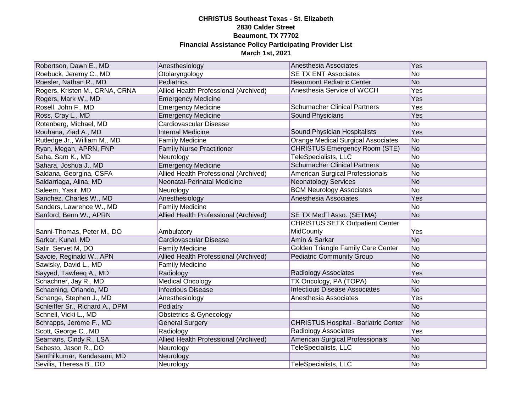| Robertson, Dawn E., MD          | Anesthesiology                        | Anesthesia Associates                       | Yes            |
|---------------------------------|---------------------------------------|---------------------------------------------|----------------|
| Roebuck, Jeremy C., MD          | Otolaryngology                        | <b>SE TX ENT Associates</b>                 | No             |
| Roesler, Nathan R., MD          | Pediatrics                            | <b>Beaumont Pediatric Center</b>            | N <sub>o</sub> |
| Rogers, Kristen M., CRNA, CRNA  | Allied Health Professional (Archived) | Anesthesia Service of WCCH                  | Yes            |
| Rogers, Mark W., MD             | <b>Emergency Medicine</b>             |                                             | Yes            |
| Rosell, John F., MD             | <b>Emergency Medicine</b>             | <b>Schumacher Clinical Partners</b>         | Yes            |
| Ross, Cray L., MD               | <b>Emergency Medicine</b>             | Sound Physicians                            | Yes            |
| Rotenberg, Michael, MD          | Cardiovascular Disease                |                                             | No             |
| Rouhana, Ziad A., MD            | <b>Internal Medicine</b>              | Sound Physician Hospitalists                | Yes            |
| Rutledge Jr., William M., MD    | <b>Family Medicine</b>                | <b>Orange Medical Surgical Associates</b>   | No             |
| Ryan, Megan, APRN, FNP          | <b>Family Nurse Practitioner</b>      | <b>CHRISTUS Emergency Room (STE)</b>        | No             |
| Saha, Sam K., MD                | Neurology                             | TeleSpecialists, LLC                        | No             |
| Sahara, Joshua J., MD           | <b>Emergency Medicine</b>             | <b>Schumacher Clinical Partners</b>         | No             |
| Saldana, Georgina, CSFA         | Allied Health Professional (Archived) | American Surgical Professionals             | No             |
| Saldarriaga, Alina, MD          | Neonatal-Perinatal Medicine           | <b>Neonatology Services</b>                 | No             |
| Saleem, Yasir, MD               | Neurology                             | <b>BCM Neurology Associates</b>             | No             |
| Sanchez, Charles W., MD         | Anesthesiology                        | Anesthesia Associates                       | Yes            |
| Sanders, Lawrence W., MD        | <b>Family Medicine</b>                |                                             | No             |
| Sanford, Benn W., APRN          | Allied Health Professional (Archived) | SE TX Med'l Asso. (SETMA)                   | No             |
|                                 |                                       | <b>CHRISTUS SETX Outpatient Center</b>      |                |
| Sanni-Thomas, Peter M., DO      | Ambulatory                            | MidCounty                                   | Yes            |
| Sarkar, Kunal, MD               | Cardiovascular Disease                | Amin & Sarkar                               | No             |
| Satir, Servet M, DO             | <b>Family Medicine</b>                | Golden Triangle Family Care Center          | No             |
| Savoie, Reginald W., APN        | Allied Health Professional (Archived) | <b>Pediatric Community Group</b>            | No             |
| Sawisky, David L., MD           | <b>Family Medicine</b>                |                                             | No             |
| Sayyed, Tawfeeq A., MD          | Radiology                             | Radiology Associates                        | Yes            |
| Schachner, Jay R., MD           | <b>Medical Oncology</b>               | TX Oncology, PA (TOPA)                      | No             |
| Schaening, Orlando, MD          | <b>Infectious Disease</b>             | <b>Infectious Disease Associates</b>        | No             |
| Schange, Stephen J., MD         | Anesthesiology                        | Anesthesia Associates                       | Yes            |
| Schleiffer Sr., Richard A., DPM | Podiatry                              |                                             | No             |
| Schnell, Vicki L., MD           | <b>Obstetrics &amp; Gynecology</b>    |                                             | No             |
| Schrapps, Jerome F., MD         | <b>General Surgery</b>                | <b>CHRISTUS Hospital - Bariatric Center</b> | No             |
| Scott, George C., MD            | Radiology                             | <b>Radiology Associates</b>                 | Yes            |
| Seamans, Cindy R., LSA          | Allied Health Professional (Archived) | American Surgical Professionals             | No             |
| Sebesto, Jason R., DO           | Neurology                             | TeleSpecialists, LLC                        | No             |
| Senthilkumar, Kandasami, MD     | Neurology                             |                                             | No             |
| Sevilis, Theresa B., DO         | Neurology                             | TeleSpecialists, LLC                        | No.            |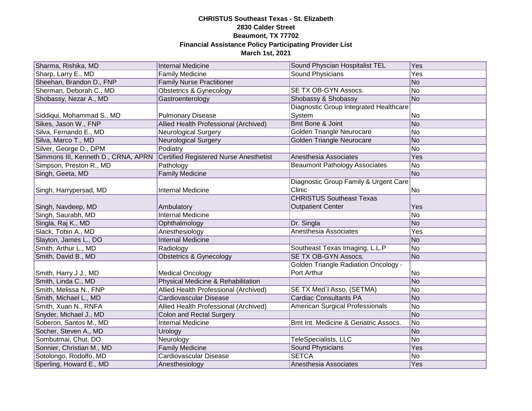| Sharma, Rishika, MD                 | <b>Internal Medicine</b>                      | Sound Physcian Hospitalist TEL              | Yes            |
|-------------------------------------|-----------------------------------------------|---------------------------------------------|----------------|
| Sharp, Larry E., MD                 | <b>Family Medicine</b>                        | <b>Sound Physicians</b>                     | Yes            |
| Sheehan, Brandon D., FNP            | <b>Family Nurse Practitioner</b>              |                                             | N <sub>O</sub> |
| Sherman, Deborah C., MD             | <b>Obstetrics &amp; Gynecology</b>            | SE TX OB-GYN Assocs.                        | N <sub>o</sub> |
| Shobassy, Nezar A., MD              | Gastroenterology                              | Shobassy & Shobassy                         | No             |
|                                     |                                               | Diagnostic Group Integrated Healthcare      |                |
| Siddiqui, Mohammad S., MD           | <b>Pulmonary Disease</b>                      | System                                      | No             |
| Sikes, Jason W., FNP                | Allied Health Professional (Archived)         | Bmt Bone & Joint                            | No             |
| Silva, Fernando E., MD              | <b>Neurological Surgery</b>                   | Golden Triangle Neurocare                   | No             |
| Silva, Marco T., MD                 | <b>Neurological Surgery</b>                   | Golden Triangle Neurocare                   | No             |
| Silver, George D., DPM              | Podiatry                                      |                                             | No             |
| Simmons III, Kenneth D., CRNA, APRN | <b>Certified Registered Nurse Anesthetist</b> | Anesthesia Associates                       | Yes            |
| Simpson, Preston R., MD             | Pathology                                     | <b>Beaumont Pathology Associates</b>        | No             |
| Singh, Geeta, MD                    | <b>Family Medicine</b>                        |                                             | N <sub>o</sub> |
|                                     |                                               | Diagnostic Group Family & Urgent Care       |                |
| Singh, Harrypersad, MD              | Internal Medicine                             | Clinic                                      | lNo.           |
|                                     |                                               | <b>CHRISTUS Southeast Texas</b>             |                |
| Singh, Navdeep, MD                  | Ambulatory                                    | <b>Outpatient Center</b>                    | Yes            |
| Singh, Saurabh, MD                  | <b>Internal Medicine</b>                      |                                             | N <sub>o</sub> |
| Singla, Raj K., MD                  | Ophthalmology                                 | Dr. Singla                                  | N <sub>o</sub> |
| Slack, Tobin A., MD                 | Anesthesiology                                | Anesthesia Associates                       | Yes            |
| Slayton, James L., DO               | <b>Internal Medicine</b>                      |                                             | N <sub>o</sub> |
| Smith, Arthur L., MD                | Radiology                                     | Southeast Texas Imaging, L.L.P              | No             |
| Smith, David B., MD                 | <b>Obstetrics &amp; Gynecology</b>            | SE TX OB-GYN Assocs.                        | N <sub>o</sub> |
|                                     |                                               | <b>Golden Triangle Radiation Oncology -</b> |                |
| Smith, Harry J J., MD               | <b>Medical Oncology</b>                       | Port Arthur                                 | No             |
| Smith, Linda C., MD                 | Physical Medicine & Rehabilitation            |                                             | N <sub>o</sub> |
| Smith, Melissa N., FNP              | Allied Health Professional (Archived)         | SE TX Med'l Asso. (SETMA)                   | No             |
| Smith, Michael L., MD               | Cardiovascular Disease                        | <b>Cardiac Consultants PA</b>               | No             |
| Smith, Xuan N., RNFA                | Allied Health Professional (Archived)         | American Surgical Professionals             | No             |
| Snyder, Michael J., MD              | <b>Colon and Rectal Surgery</b>               |                                             | No             |
| Soberon, Santos M., MD              | <b>Internal Medicine</b>                      | Bmt Int. Medicine & Geriatric Assocs.       | No             |
| Socher, Steven A., MD               | Urology                                       |                                             | No             |
| Sombutmai, Chut, DO                 | Neurology                                     | TeleSpecialists, LLC                        | No             |
| Sonnier, Christian M., MD           | <b>Family Medicine</b>                        | Sound Physicians                            | Yes            |
| Sotolongo, Rodolfo, MD              | Cardiovascular Disease                        | <b>SETCA</b>                                | No             |
| Sperling, Howard E., MD             | Anesthesiology                                | Anesthesia Associates                       | Yes            |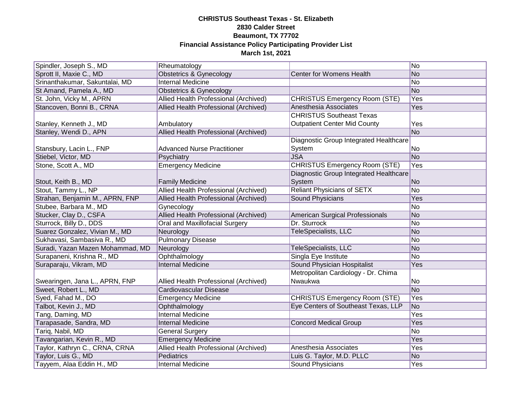| Spindler, Joseph S., MD          | Rheumatology                          |                                        | No             |
|----------------------------------|---------------------------------------|----------------------------------------|----------------|
| Sprott II, Maxie C., MD          | <b>Obstetrics &amp; Gynecology</b>    | Center for Womens Health               | No             |
| Srinanthakumar, Sakuntalai, MD   | <b>Internal Medicine</b>              |                                        | No             |
| St Amand, Pamela A., MD          | Obstetrics & Gynecology               |                                        | No             |
| St. John, Vicky M., APRN         | Allied Health Professional (Archived) | <b>CHRISTUS Emergency Room (STE)</b>   | <b>Yes</b>     |
| Stancoven, Bonni B., CRNA        | Allied Health Professional (Archived) | Anesthesia Associates                  | Yes            |
|                                  |                                       | <b>CHRISTUS Southeast Texas</b>        |                |
| Stanley, Kenneth J., MD          | Ambulatory                            | <b>Outpatient Center Mid County</b>    | Yes            |
| Stanley, Wendi D., APN           | Allied Health Professional (Archived) |                                        | N <sub>o</sub> |
|                                  |                                       | Diagnostic Group Integrated Healthcare |                |
| Stansbury, Lacin L., FNP         | <b>Advanced Nurse Practitioner</b>    | System                                 | No             |
| Stiebel, Victor, MD              | Psychiatry                            | <b>JSA</b>                             | No             |
| Stone, Scott A., MD              | Emergency Medicine                    | <b>CHRISTUS Emergency Room (STE)</b>   | Yes            |
|                                  |                                       | Diagnostic Group Integrated Healthcare |                |
| Stout, Keith B., MD              | <b>Family Medicine</b>                | System                                 | No             |
| Stout, Tammy L., NP              | Allied Health Professional (Archived) | <b>Reliant Physicians of SETX</b>      | N <sub>o</sub> |
| Strahan, Benjamin M., APRN, FNP  | Allied Health Professional (Archived) | <b>Sound Physicians</b>                | Yes            |
| Stubee, Barbara M., MD           | Gynecology                            |                                        | No             |
| Stucker, Clay D., CSFA           | Allied Health Professional (Archived) | American Surgical Professionals        | N <sub>o</sub> |
| Sturrock, Billy D., DDS          | Oral and Maxillofacial Surgery        | Dr. Sturrock                           | No             |
| Suarez Gonzalez, Vivian M., MD   | Neurology                             | TeleSpecialists, LLC                   | No             |
| Sukhavasi, Sambasiva R., MD      | <b>Pulmonary Disease</b>              |                                        | No             |
| Suradi, Yazan Mazen Mohammad, MD | Neurology                             | TeleSpecialists, LLC                   | N <sub>o</sub> |
| Surapaneni, Krishna R., MD       | Ophthalmology                         | Singla Eye Institute                   | No             |
| Suraparaju, Vikram, MD           | <b>Internal Medicine</b>              | Sound Physician Hospitalist            | Yes            |
|                                  |                                       | Metropolitan Cardiology - Dr. Chima    |                |
| Swearingen, Jana L., APRN, FNP   | Allied Health Professional (Archived) | Nwaukwa                                | No             |
| Sweet, Robert L., MD             | Cardiovascular Disease                |                                        | No             |
| Syed, Fahad M., DO               | <b>Emergency Medicine</b>             | <b>CHRISTUS Emergency Room (STE)</b>   | Yes            |
| Talbot, Kevin J., MD             | Ophthalmology                         | Eye Centers of Southeast Texas, LLP    | No             |
| Tang, Daming, MD                 | <b>Internal Medicine</b>              |                                        | Yes            |
| Tarapasade, Sandra, MD           | <b>Internal Medicine</b>              | <b>Concord Medical Group</b>           | Yes            |
| Tariq, Nabil, MD                 | <b>General Surgery</b>                |                                        | N <sub>o</sub> |
| Tavangarian, Kevin R., MD        | <b>Emergency Medicine</b>             |                                        | Yes            |
| Taylor, Kathryn C., CRNA, CRNA   | Allied Health Professional (Archived) | Anesthesia Associates                  | Yes            |
| Taylor, Luis G., MD              | Pediatrics                            | Luis G. Taylor, M.D. PLLC              | No             |
| Tayyem, Alaa Eddin H., MD        | <b>Internal Medicine</b>              | <b>Sound Physicians</b>                | Yes            |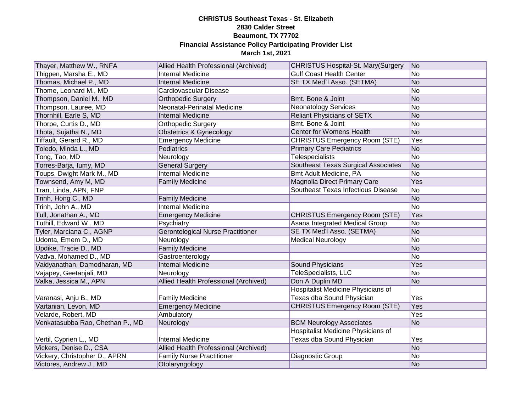| Thayer, Matthew W., RNFA         | Allied Health Professional (Archived)    | <b>CHRISTUS Hospital-St. Mary(Surgery</b> | N <sub>o</sub> |
|----------------------------------|------------------------------------------|-------------------------------------------|----------------|
| Thigpen, Marsha E., MD           | <b>Internal Medicine</b>                 | <b>Gulf Coast Health Center</b>           | No.            |
| Thomas, Michael P., MD           | <b>Internal Medicine</b>                 | SE TX Med'l Asso. (SETMA)                 | No             |
| Thome, Leonard M., MD            | Cardiovascular Disease                   |                                           | No             |
| Thompson, Daniel M., MD          | <b>Orthopedic Surgery</b>                | Bmt. Bone & Joint                         | No             |
| Thompson, Lauree, MD             | Neonatal-Perinatal Medicine              | <b>Neonatology Services</b>               | No             |
| Thornhill, Earle S, MD           | <b>Internal Medicine</b>                 | <b>Reliant Physicians of SETX</b>         | No             |
| Thorpe, Curtis D., MD            | <b>Orthopedic Surgery</b>                | Bmt. Bone & Joint                         | No             |
| Thota, Sujatha N., MD            | <b>Obstetrics &amp; Gynecology</b>       | Center for Womens Health                  | No             |
| Tiffault, Gerard R., MD          | <b>Emergency Medicine</b>                | <b>CHRISTUS Emergency Room (STE)</b>      | Yes            |
| Toledo, Minda L., MD             | Pediatrics                               | <b>Primary Care Pediatrics</b>            | No             |
| Tong, Tao, MD                    | Neurology                                | Telespecialists                           | No             |
| Torres-Barja, lumy, MD           | <b>General Surgery</b>                   | Southeast Texas Surgical Associates       | No             |
| Toups, Dwight Mark M., MD        | <b>Internal Medicine</b>                 | Bmt Adult Medicine, PA                    | No             |
| Townsend, Amy M, MD              | <b>Family Medicine</b>                   | Magnolia Direct Primary Care              | Yes            |
| Tran, Linda, APN, FNP            |                                          | <b>Southeast Texas Infectious Disease</b> | No             |
| Trinh, Hong C., MD               | <b>Family Medicine</b>                   |                                           | No             |
| Trinh, John A., MD               | <b>Internal Medicine</b>                 |                                           | No.            |
| Tull, Jonathan A., MD            | <b>Emergency Medicine</b>                | <b>CHRISTUS Emergency Room (STE)</b>      | Yes            |
| Tuthill, Edward W., MD           | Psychiatry                               | Asana Integrated Medical Group            | N <sub>o</sub> |
| Tyler, Marciana C., AGNP         | <b>Gerontological Nurse Practitioner</b> | SE TX Med'l Asso. (SETMA)                 | No             |
| Udonta, Emem D., MD              | Neurology                                | <b>Medical Neurology</b>                  | No             |
| Updike, Tracie D., MD            | <b>Family Medicine</b>                   |                                           | No             |
| Vadva, Mohamed D., MD            | Gastroenterology                         |                                           | No.            |
| Vaidyanathan, Damodharan, MD     | <b>Internal Medicine</b>                 | <b>Sound Physicians</b>                   | Yes            |
| Vajapey, Geetanjali, MD          | Neurology                                | TeleSpecialists, LLC                      | No             |
| Valka, Jessica M., APN           | Allied Health Professional (Archived)    | Don A Duplin MD                           | No             |
|                                  |                                          | Hospitalist Medicine Physicians of        |                |
| Varanasi, Anju B., MD            | <b>Family Medicine</b>                   | Texas dba Sound Physician                 | Yes            |
| Vartanian, Levon, MD             | <b>Emergency Medicine</b>                | <b>CHRISTUS Emergency Room (STE)</b>      | <b>Yes</b>     |
| Velarde, Robert, MD              | Ambulatory                               |                                           | <b>Yes</b>     |
| Venkatasubba Rao, Chethan P., MD | Neurology                                | <b>BCM Neurology Associates</b>           | No             |
|                                  |                                          | <b>Hospitalist Medicine Physicians of</b> |                |
| Vertil, Cyprien L., MD           | <b>Internal Medicine</b>                 | Texas dba Sound Physician                 | Yes            |
| Vickers, Denise D., CSA          | Allied Health Professional (Archived)    |                                           | No             |
| Vickery, Christopher D., APRN    | <b>Family Nurse Practitioner</b>         | Diagnostic Group                          | No             |
| Victores, Andrew J., MD          | Otolaryngology                           |                                           | No             |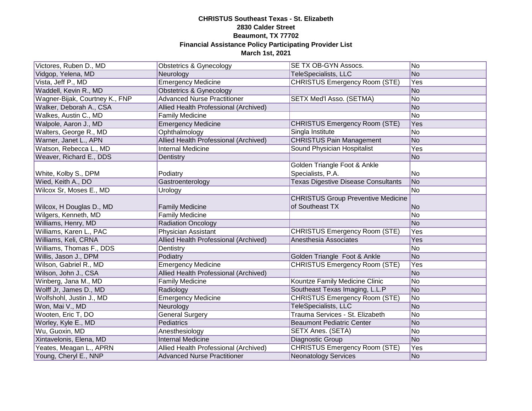| Victores, Ruben D., MD         | <b>Obstetrics &amp; Gynecology</b>    | SE TX OB-GYN Assocs.                       | No             |
|--------------------------------|---------------------------------------|--------------------------------------------|----------------|
| Vidgop, Yelena, MD             | Neurology                             | <b>TeleSpecialists, LLC</b>                | N <sub>o</sub> |
| Vista, Jeff P., MD             | <b>Emergency Medicine</b>             | <b>CHRISTUS Emergency Room (STE)</b>       | Yes            |
| Waddell, Kevin R., MD          | <b>Obstetrics &amp; Gynecology</b>    |                                            | N <sub>o</sub> |
| Wagner-Bijak, Courtney K., FNP | <b>Advanced Nurse Practitioner</b>    | <b>SETX Med'I Asso. (SETMA)</b>            | No             |
| Walker, Deborah A., CSA        | Allied Health Professional (Archived) |                                            | No             |
| Walkes, Austin C., MD          | <b>Family Medicine</b>                |                                            | No             |
| Walpole, Aaron J., MD          | <b>Emergency Medicine</b>             | <b>CHRISTUS Emergency Room (STE)</b>       | Yes            |
| Walters, George R., MD         | Ophthalmology                         | Singla Institute                           | No             |
| Warner, Janet L., APN          | Allied Health Professional (Archived) | <b>CHRISTUS Pain Management</b>            | No             |
| Watson, Rebecca L., MD         | <b>Internal Medicine</b>              | Sound Physician Hospitalist                | Yes            |
| Weaver, Richard E., DDS        | Dentistry                             |                                            | No             |
|                                |                                       | Golden Triangle Foot & Ankle               |                |
| White, Kolby S., DPM           | Podiatry                              | Specialists, P.A.                          | No             |
| Wied, Keith A., DO             | Gastroenterology                      | <b>Texas Digestive Disease Consultants</b> | No             |
| Wilcox Sr, Moses E., MD        | Urology                               |                                            | No             |
|                                |                                       | <b>CHRISTUS Group Preventive Medicine</b>  |                |
| Wilcox, H Douglas D., MD       | <b>Family Medicine</b>                | of Southeast TX                            | N <sub>o</sub> |
| Wilgers, Kenneth, MD           | <b>Family Medicine</b>                |                                            | No             |
| Williams, Henry, MD            | <b>Radiation Oncology</b>             |                                            | No             |
| Williams, Karen L., PAC        | Physician Assistant                   | <b>CHRISTUS Emergency Room (STE)</b>       | Yes            |
| Williams, Keli, CRNA           | Allied Health Professional (Archived) | Anesthesia Associates                      | Yes            |
| Williams, Thomas F., DDS       | Dentistry                             |                                            | No             |
| Willis, Jason J., DPM          | Podiatry                              | Golden Triangle Foot & Ankle               | No             |
| Wilson, Gabriel R., MD         | <b>Emergency Medicine</b>             | <b>CHRISTUS Emergency Room (STE)</b>       | Yes            |
| Wilson, John J., CSA           | Allied Health Professional (Archived) |                                            | No             |
| Winberg, Jana M., MD           | <b>Family Medicine</b>                | Kountze Family Medicine Clinic             | No             |
| Wolff Jr, James D., MD         | Radiology                             | Southeast Texas Imaging, L.L.P             | No             |
| Wolfshohl, Justin J., MD       | <b>Emergency Medicine</b>             | <b>CHRISTUS Emergency Room (STE)</b>       | No             |
| Won, Mai V., MD                | Neurology                             | <b>TeleSpecialists, LLC</b>                | No             |
| Wooten, Eric T, DO             | <b>General Surgery</b>                | Trauma Services - St. Elizabeth            | No             |
| Worley, Kyle E., MD            | Pediatrics                            | <b>Beaumont Pediatric Center</b>           | No             |
| Wu, Guoxin, MD                 | Anesthesiology                        | SETX Anes. (SETA)                          | No             |
| Xintavelonis, Elena, MD        | <b>Internal Medicine</b>              | Diagnostic Group                           | No             |
| Yeates, Meagan L., APRN        | Allied Health Professional (Archived) | <b>CHRISTUS Emergency Room (STE)</b>       | Yes            |
| Young, Cheryl E., NNP          | <b>Advanced Nurse Practitioner</b>    | <b>Neonatology Services</b>                | No             |